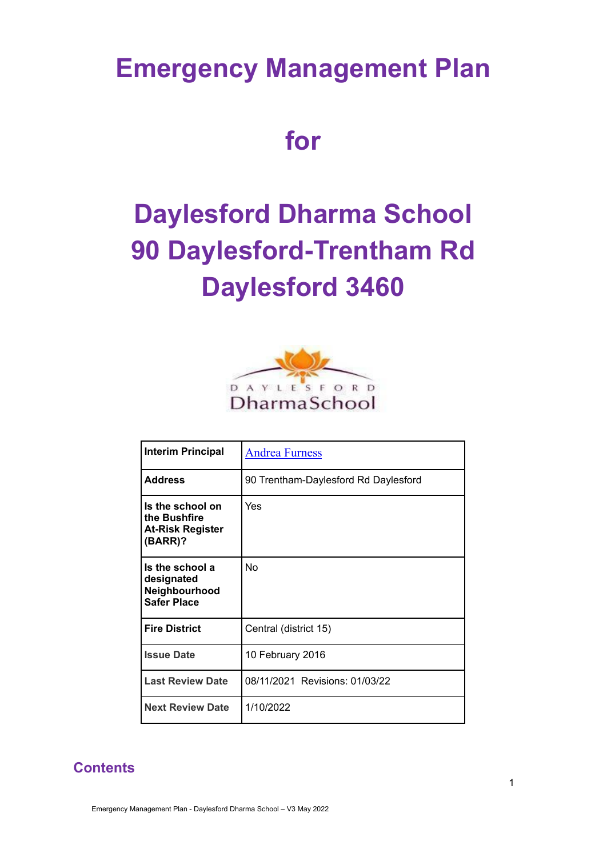## **Emergency Management Plan**

**for**

# **Daylesford Dharma School 90 Daylesford-Trentham Rd Daylesford 3460**



| <b>Interim Principal</b>                                               | <b>Andrea Furness</b>                |
|------------------------------------------------------------------------|--------------------------------------|
| <b>Address</b>                                                         | 90 Trentham-Daylesford Rd Daylesford |
| Is the school on<br>the Bushfire<br><b>At-Risk Register</b><br>(BARR)? | Yes                                  |
| Is the school a<br>designated<br>Neighbourhood<br><b>Safer Place</b>   | No                                   |
| <b>Fire District</b>                                                   | Central (district 15)                |
| <b>Issue Date</b>                                                      | 10 February 2016                     |
| <b>Last Review Date</b>                                                | 08/11/2021 Revisions: 01/03/22       |
| <b>Next Review Date</b>                                                | 1/10/2022                            |

### **Contents**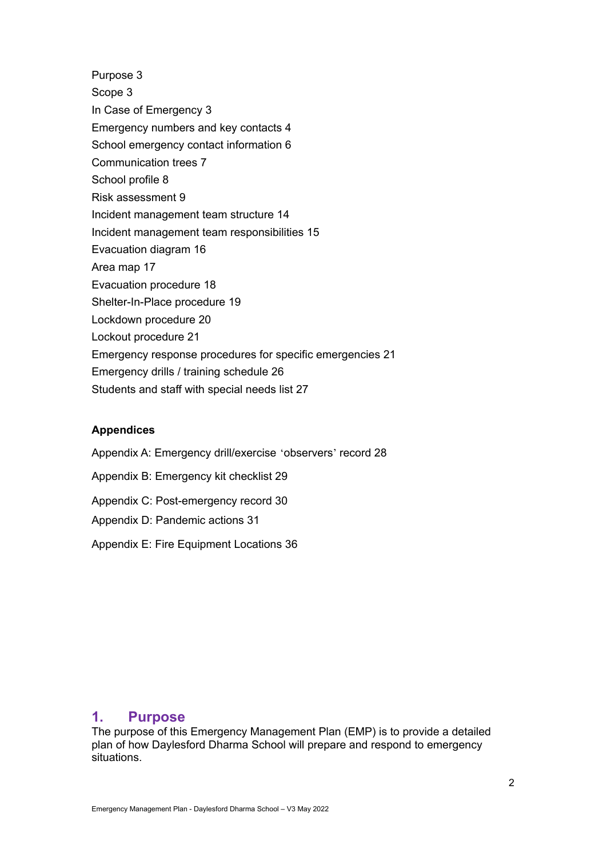Purpose 3 Scope 3 In Case of Emergency 3 Emergency numbers and key contacts 4 School emergency contact information 6 Communication trees 7 School profile 8 Risk assessment 9 Incident management team structure 14 Incident management team responsibilities 15 Evacuation diagram 16 Area map 17 Evacuation procedure 18 Shelter-In-Place procedure 19 Lockdown procedure 20 Lockout procedure 21 Emergency response procedures for specific emergencies 21 Emergency drills / training schedule 26 Students and staff with special needs list 27

### **Appendices**

Appendix A: Emergency drill/exercise 'observers' record 28 Appendix B: Emergency kit checklist 29 Appendix C: Post-emergency record 30 Appendix D: Pandemic actions 31 Appendix E: Fire Equipment Locations 36

### **1. Purpose**

The purpose of this Emergency Management Plan (EMP) is to provide a detailed plan of how Daylesford Dharma School will prepare and respond to emergency situations.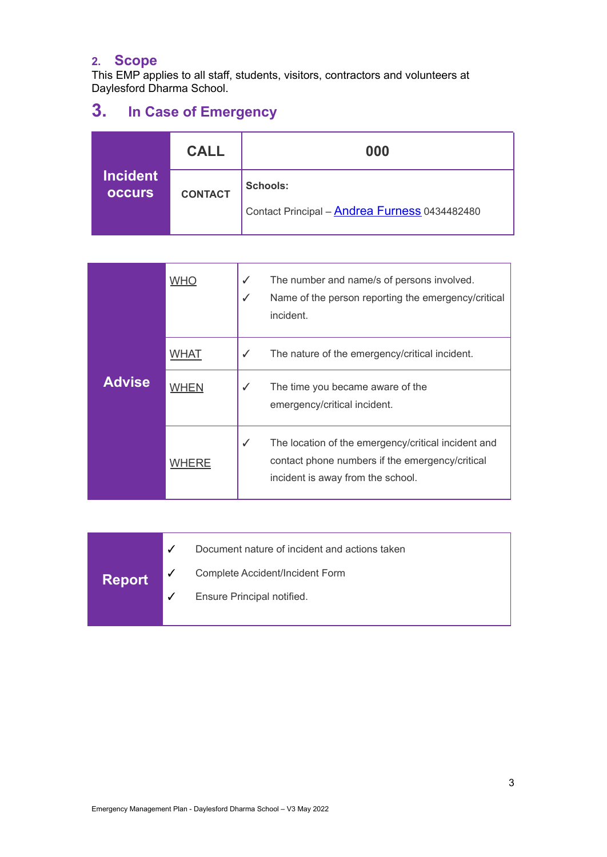### **2. Scope**

This EMP applies to all staff, students, visitors, contractors and volunteers at Daylesford Dharma School.

## **3. In Case of Emergency**

|                                  | <b>CALL</b>    | 000                                                                     |  |  |  |  |
|----------------------------------|----------------|-------------------------------------------------------------------------|--|--|--|--|
| <b>Incident</b><br><b>OCCULS</b> | <b>CONTACT</b> | <b>Schools:</b><br>Contact Principal - <b>Andrea Furness</b> 0434482480 |  |  |  |  |

| <b>Advise</b> | <b>WHO</b> | ✓<br>√ | The number and name/s of persons involved.<br>Name of the person reporting the emergency/critical<br>incident.                              |
|---------------|------------|--------|---------------------------------------------------------------------------------------------------------------------------------------------|
|               | WHAT       | ✓      | The nature of the emergency/critical incident.                                                                                              |
|               | WHEN       | ✓      | The time you became aware of the<br>emergency/critical incident.                                                                            |
|               | WHERE      | ✓      | The location of the emergency/critical incident and<br>contact phone numbers if the emergency/critical<br>incident is away from the school. |

|               | Document nature of incident and actions taken |
|---------------|-----------------------------------------------|
| <b>Report</b> | Complete Accident/Incident Form               |
|               | Ensure Principal notified.                    |
|               |                                               |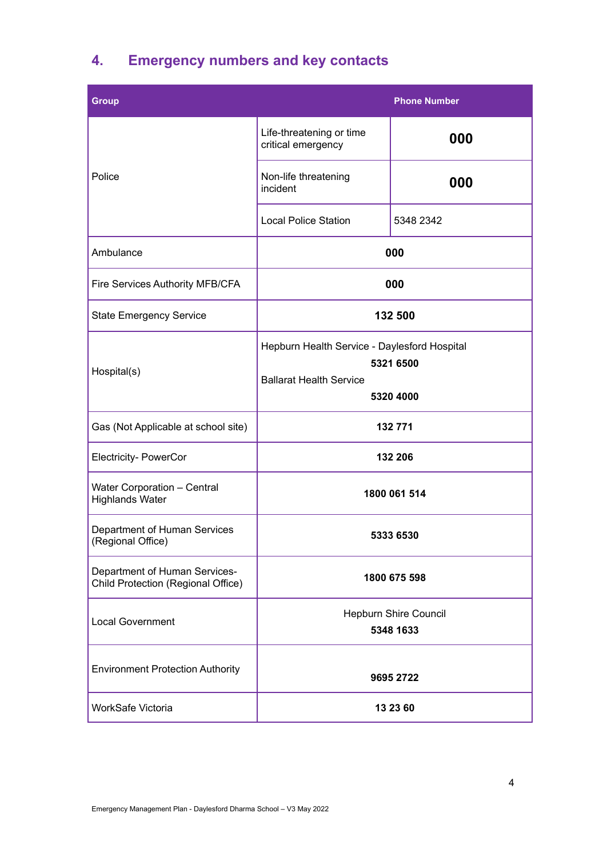## **4. Emergency numbers and key contacts**

| <b>Group</b>                                                        |                                                                                                          | <b>Phone Number</b> |  |  |  |
|---------------------------------------------------------------------|----------------------------------------------------------------------------------------------------------|---------------------|--|--|--|
|                                                                     | Life-threatening or time<br>critical emergency                                                           | 000                 |  |  |  |
| Police                                                              | Non-life threatening<br>incident                                                                         | 000                 |  |  |  |
|                                                                     | <b>Local Police Station</b>                                                                              | 5348 2342           |  |  |  |
| Ambulance                                                           |                                                                                                          | 000                 |  |  |  |
| Fire Services Authority MFB/CFA                                     |                                                                                                          | 000                 |  |  |  |
| <b>State Emergency Service</b>                                      |                                                                                                          | 132 500             |  |  |  |
| Hospital(s)                                                         | Hepburn Health Service - Daylesford Hospital<br>5321 6500<br><b>Ballarat Health Service</b><br>5320 4000 |                     |  |  |  |
| Gas (Not Applicable at school site)                                 |                                                                                                          | 132 771             |  |  |  |
| <b>Electricity- PowerCor</b>                                        |                                                                                                          | 132 206             |  |  |  |
| <b>Water Corporation - Central</b><br><b>Highlands Water</b>        |                                                                                                          | 1800 061 514        |  |  |  |
| Department of Human Services<br>(Regional Office)                   | 5333 6530                                                                                                |                     |  |  |  |
| Department of Human Services-<br>Child Protection (Regional Office) | 1800 675 598                                                                                             |                     |  |  |  |
| <b>Local Government</b>                                             | Hepburn Shire Council<br>5348 1633                                                                       |                     |  |  |  |
| <b>Environment Protection Authority</b>                             |                                                                                                          | 9695 2722           |  |  |  |
| WorkSafe Victoria                                                   |                                                                                                          | 13 23 60            |  |  |  |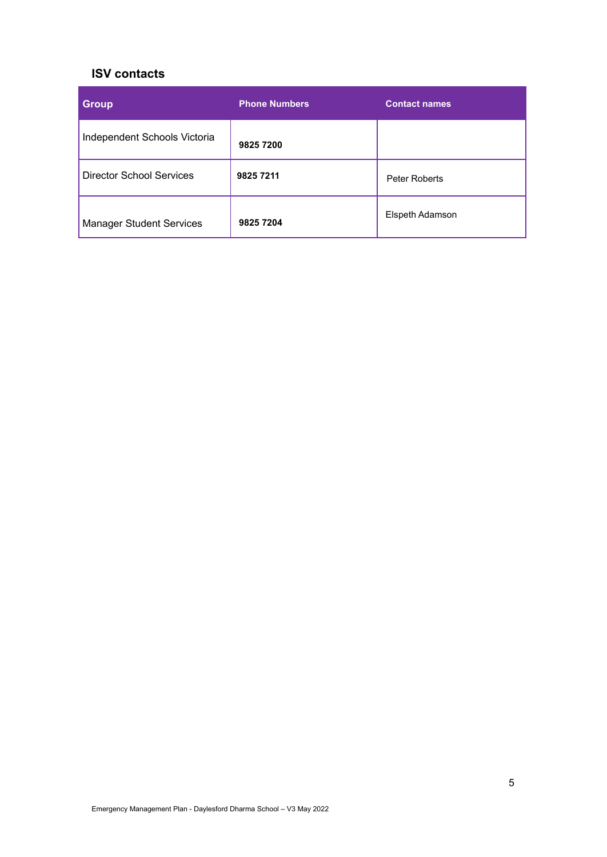### **ISV contacts**

| <b>Group</b>                    | <b>Phone Numbers</b> | <b>Contact names</b> |
|---------------------------------|----------------------|----------------------|
| Independent Schools Victoria    | 9825 7200            |                      |
| <b>Director School Services</b> | 9825 7211            | Peter Roberts        |
| <b>Manager Student Services</b> | 9825 7204            | Elspeth Adamson      |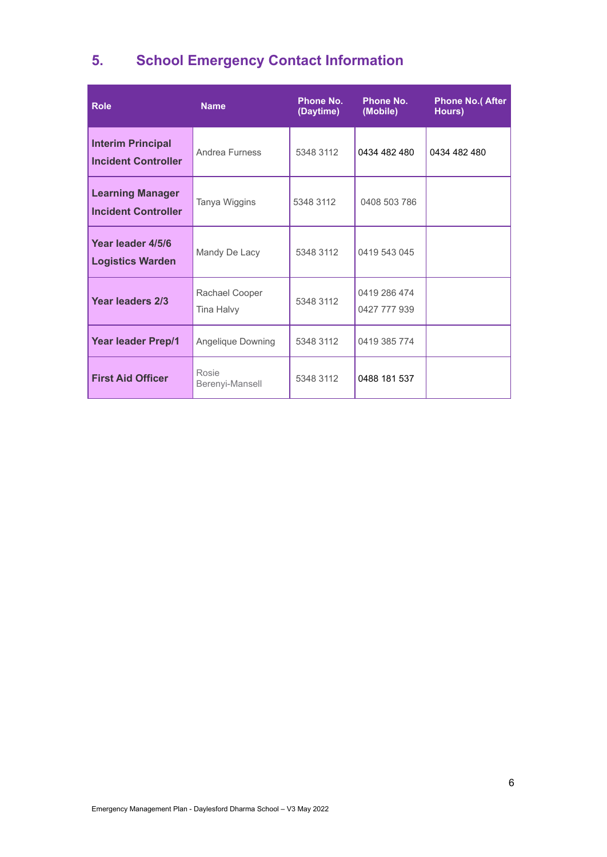## **5. School Emergency Contact Information**

| <b>Role</b>                                            | <b>Name</b>                  | <b>Phone No.</b><br>(Daytime) | <b>Phone No.</b><br>(Mobile) | <b>Phone No.( After</b><br>Hours) |
|--------------------------------------------------------|------------------------------|-------------------------------|------------------------------|-----------------------------------|
| <b>Interim Principal</b><br><b>Incident Controller</b> | Andrea Furness               | 5348 3112                     | 0434 482 480                 | 0434 482 480                      |
| <b>Learning Manager</b><br><b>Incident Controller</b>  | Tanya Wiggins                | 5348 3112                     | 0408 503 786                 |                                   |
| Year leader 4/5/6<br><b>Logistics Warden</b>           | Mandy De Lacy                | 5348 3112                     | 0419 543 045                 |                                   |
| <b>Year leaders 2/3</b>                                | Rachael Cooper<br>Tina Halvy | 5348 3112                     | 0419 286 474<br>0427 777 939 |                                   |
| <b>Year leader Prep/1</b>                              | Angelique Downing            | 5348 3112                     | 0419 385 774                 |                                   |
| <b>First Aid Officer</b>                               | Rosie<br>Berenyi-Mansell     | 5348 3112                     | 0488 181 537                 |                                   |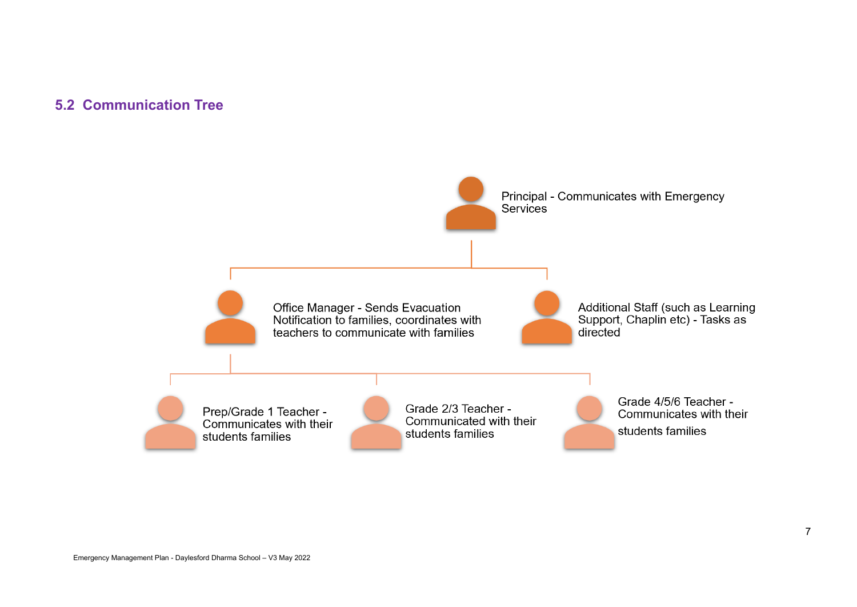### **5.2 Communication Tree**

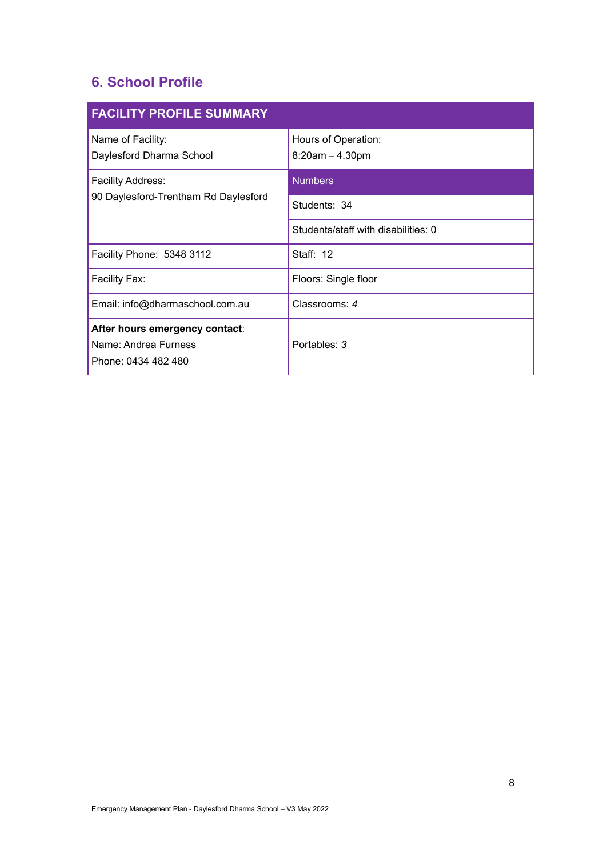### **6. School Profile**

| <b>FACILITY PROFILE SUMMARY</b>                                               |                                          |  |  |  |  |  |  |
|-------------------------------------------------------------------------------|------------------------------------------|--|--|--|--|--|--|
| Name of Facility:<br>Daylesford Dharma School                                 | Hours of Operation:<br>$8:20am - 4.30pm$ |  |  |  |  |  |  |
| <b>Facility Address:</b>                                                      | <b>Numbers</b>                           |  |  |  |  |  |  |
| 90 Daylesford-Trentham Rd Daylesford                                          | Students: 34                             |  |  |  |  |  |  |
|                                                                               | Students/staff with disabilities: 0      |  |  |  |  |  |  |
| Facility Phone: 5348 3112                                                     | Staff: 12                                |  |  |  |  |  |  |
| Facility Fax:                                                                 | Floors: Single floor                     |  |  |  |  |  |  |
| Email: info@dharmaschool.com.au                                               | Classrooms: 4                            |  |  |  |  |  |  |
| After hours emergency contact:<br>Name: Andrea Furness<br>Phone: 0434 482 480 | Portables: 3                             |  |  |  |  |  |  |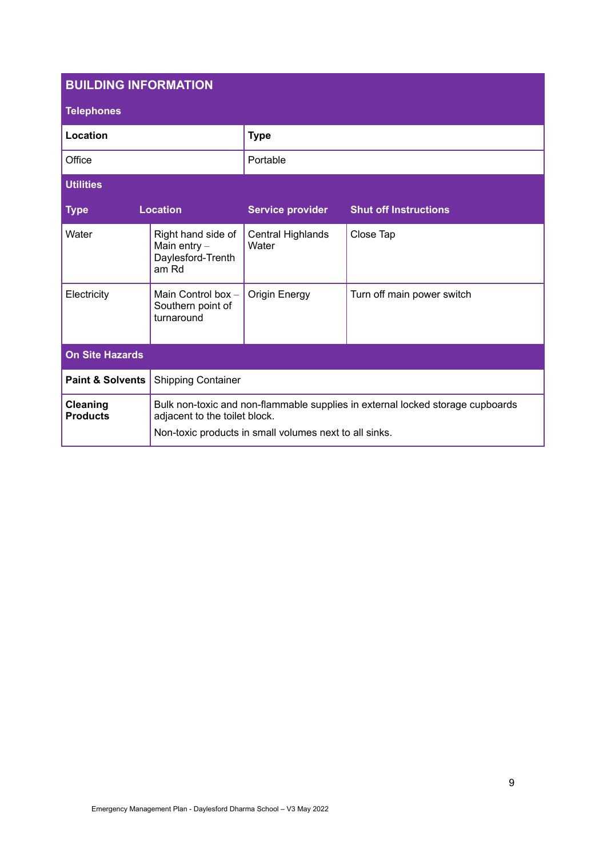| <b>BUILDING INFORMATION</b>        |                                                                    |                                                        |                                                                                |  |  |  |  |  |  |
|------------------------------------|--------------------------------------------------------------------|--------------------------------------------------------|--------------------------------------------------------------------------------|--|--|--|--|--|--|
| <b>Telephones</b>                  |                                                                    |                                                        |                                                                                |  |  |  |  |  |  |
| Location                           |                                                                    | <b>Type</b>                                            |                                                                                |  |  |  |  |  |  |
| Office                             |                                                                    | Portable                                               |                                                                                |  |  |  |  |  |  |
| <b>Utilities</b>                   |                                                                    |                                                        |                                                                                |  |  |  |  |  |  |
| <b>Type</b>                        | <b>Location</b>                                                    | <b>Service provider</b>                                | <b>Shut off Instructions</b>                                                   |  |  |  |  |  |  |
| Water                              | Right hand side of<br>Main entry $-$<br>Daylesford-Trenth<br>am Rd | Central Highlands<br>Water                             | Close Tap                                                                      |  |  |  |  |  |  |
| Electricity                        | Main Control box -<br>Southern point of<br>turnaround              | <b>Origin Energy</b>                                   | Turn off main power switch                                                     |  |  |  |  |  |  |
| <b>On Site Hazards</b>             |                                                                    |                                                        |                                                                                |  |  |  |  |  |  |
| <b>Paint &amp; Solvents</b>        | <b>Shipping Container</b>                                          |                                                        |                                                                                |  |  |  |  |  |  |
| <b>Cleaning</b><br><b>Products</b> | adjacent to the toilet block.                                      | Non-toxic products in small volumes next to all sinks. | Bulk non-toxic and non-flammable supplies in external locked storage cupboards |  |  |  |  |  |  |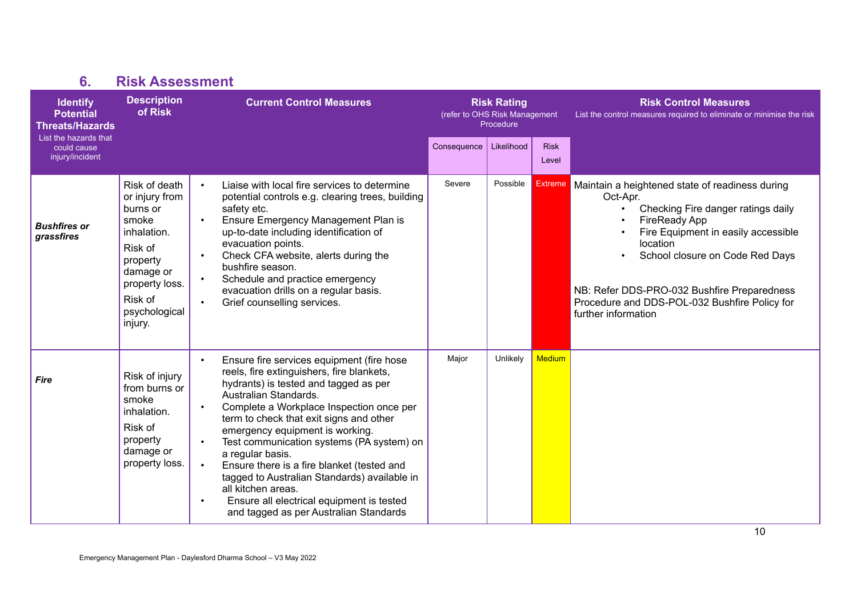| <b>Identify</b><br><b>Potential</b><br><b>Threats/Hazards</b> | <b>Description</b><br>of Risk                                                                                                                                    | <b>Current Control Measures</b>                                                                                                                                                                                                                                                                                                                                                                                                                                                                                                                                                                                                 | <b>Risk Rating</b><br>(refer to OHS Risk Management<br>Procedure |            |                      | <b>Risk Control Measures</b><br>List the control measures required to eliminate or minimise the risk                                                                                                                                                                                                                                   |
|---------------------------------------------------------------|------------------------------------------------------------------------------------------------------------------------------------------------------------------|---------------------------------------------------------------------------------------------------------------------------------------------------------------------------------------------------------------------------------------------------------------------------------------------------------------------------------------------------------------------------------------------------------------------------------------------------------------------------------------------------------------------------------------------------------------------------------------------------------------------------------|------------------------------------------------------------------|------------|----------------------|----------------------------------------------------------------------------------------------------------------------------------------------------------------------------------------------------------------------------------------------------------------------------------------------------------------------------------------|
| List the hazards that<br>could cause<br>injury/incident       |                                                                                                                                                                  |                                                                                                                                                                                                                                                                                                                                                                                                                                                                                                                                                                                                                                 | Consequence                                                      | Likelihood | <b>Risk</b><br>Level |                                                                                                                                                                                                                                                                                                                                        |
| <b>Bushfires or</b><br>grassfires                             | Risk of death<br>or injury from<br>burns or<br>smoke<br>inhalation.<br>Risk of<br>property<br>damage or<br>property loss.<br>Risk of<br>psychological<br>injury. | Liaise with local fire services to determine<br>$\bullet$<br>potential controls e.g. clearing trees, building<br>safety etc.<br>Ensure Emergency Management Plan is<br>$\bullet$<br>up-to-date including identification of<br>evacuation points.<br>Check CFA website, alerts during the<br>$\bullet$<br>bushfire season.<br>Schedule and practice emergency<br>$\bullet$<br>evacuation drills on a regular basis.<br>Grief counselling services.<br>$\bullet$                                                                                                                                                                  | Severe                                                           | Possible   | <b>Extreme</b>       | Maintain a heightened state of readiness during<br>Oct-Apr.<br>Checking Fire danger ratings daily<br><b>FireReady App</b><br>Fire Equipment in easily accessible<br>location<br>School closure on Code Red Days<br>NB: Refer DDS-PRO-032 Bushfire Preparedness<br>Procedure and DDS-POL-032 Bushfire Policy for<br>further information |
| <b>Fire</b>                                                   | Risk of injury<br>from burns or<br>smoke<br>inhalation.<br>Risk of<br>property<br>damage or<br>property loss.                                                    | Ensure fire services equipment (fire hose<br>$\bullet$<br>reels, fire extinguishers, fire blankets,<br>hydrants) is tested and tagged as per<br>Australian Standards.<br>Complete a Workplace Inspection once per<br>$\bullet$<br>term to check that exit signs and other<br>emergency equipment is working.<br>Test communication systems (PA system) on<br>$\bullet$<br>a regular basis.<br>Ensure there is a fire blanket (tested and<br>$\bullet$<br>tagged to Australian Standards) available in<br>all kitchen areas.<br>Ensure all electrical equipment is tested<br>$\bullet$<br>and tagged as per Australian Standards | Major                                                            | Unlikely   | <b>Medium</b>        |                                                                                                                                                                                                                                                                                                                                        |

**6. Risk Assessment**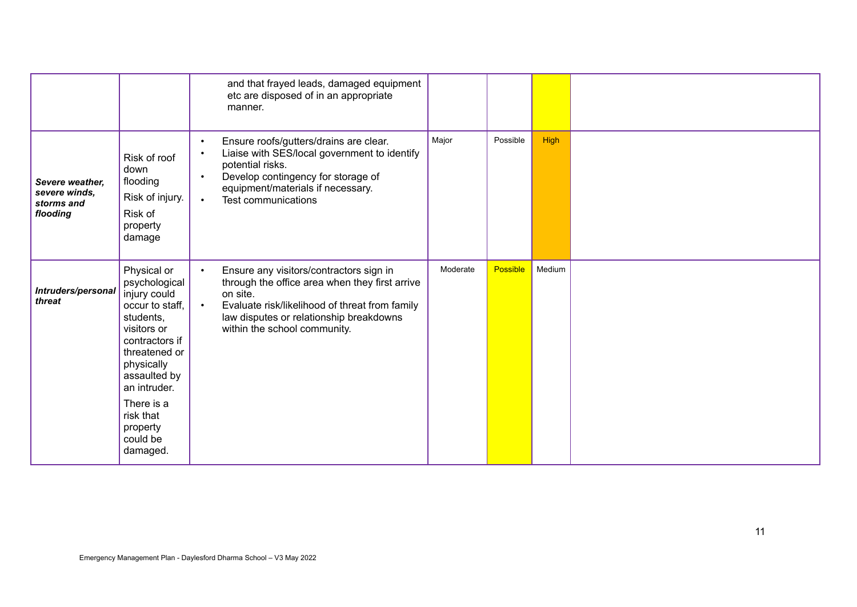|                                                            |                                                                                                                                                                                                                                             |                                                  | and that frayed leads, damaged equipment<br>etc are disposed of in an appropriate<br>manner.                                                                                                                                       |          |          |             |  |
|------------------------------------------------------------|---------------------------------------------------------------------------------------------------------------------------------------------------------------------------------------------------------------------------------------------|--------------------------------------------------|------------------------------------------------------------------------------------------------------------------------------------------------------------------------------------------------------------------------------------|----------|----------|-------------|--|
| Severe weather.<br>severe winds,<br>storms and<br>flooding | Risk of roof<br>down<br>flooding<br>Risk of injury.<br>Risk of<br>property<br>damage                                                                                                                                                        | $\bullet$<br>$\bullet$<br>$\bullet$<br>$\bullet$ | Ensure roofs/gutters/drains are clear.<br>Liaise with SES/local government to identify<br>potential risks.<br>Develop contingency for storage of<br>equipment/materials if necessary.<br>Test communications                       | Major    | Possible | <b>High</b> |  |
| Intruders/personal<br>threat                               | Physical or<br>psychological<br>injury could<br>occur to staff,<br>students,<br>visitors or<br>contractors if<br>threatened or<br>physically<br>assaulted by<br>an intruder.<br>There is a<br>risk that<br>property<br>could be<br>damaged. | $\bullet$<br>$\bullet$                           | Ensure any visitors/contractors sign in<br>through the office area when they first arrive<br>on site.<br>Evaluate risk/likelihood of threat from family<br>law disputes or relationship breakdowns<br>within the school community. | Moderate | Possible | Medium      |  |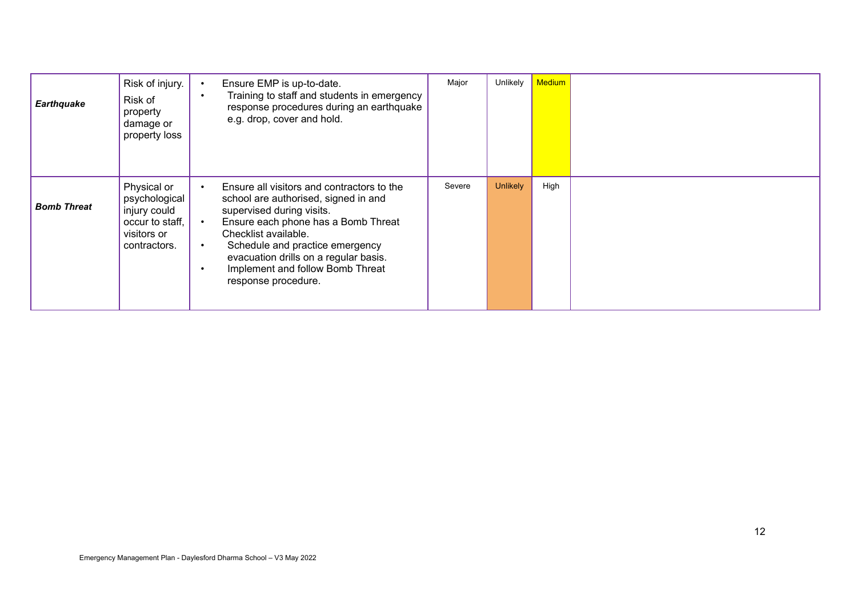| <b>Earthquake</b>  | Risk of injury.<br>Risk of<br>property<br>damage or<br>property loss                           | Ensure EMP is up-to-date.<br>$\bullet$<br>Training to staff and students in emergency<br>$\bullet$<br>response procedures during an earthquake<br>e.g. drop, cover and hold.                                                                                                                                                                                              | Major  | Unlikely        | <b>Medium</b> |  |
|--------------------|------------------------------------------------------------------------------------------------|---------------------------------------------------------------------------------------------------------------------------------------------------------------------------------------------------------------------------------------------------------------------------------------------------------------------------------------------------------------------------|--------|-----------------|---------------|--|
| <b>Bomb Threat</b> | Physical or<br>psychological<br>injury could<br>occur to staff,<br>visitors or<br>contractors. | Ensure all visitors and contractors to the<br>$\bullet$<br>school are authorised, signed in and<br>supervised during visits.<br>Ensure each phone has a Bomb Threat<br>$\bullet$<br>Checklist available.<br>Schedule and practice emergency<br>$\bullet$<br>evacuation drills on a regular basis.<br>Implement and follow Bomb Threat<br>$\bullet$<br>response procedure. | Severe | <b>Unlikely</b> | High          |  |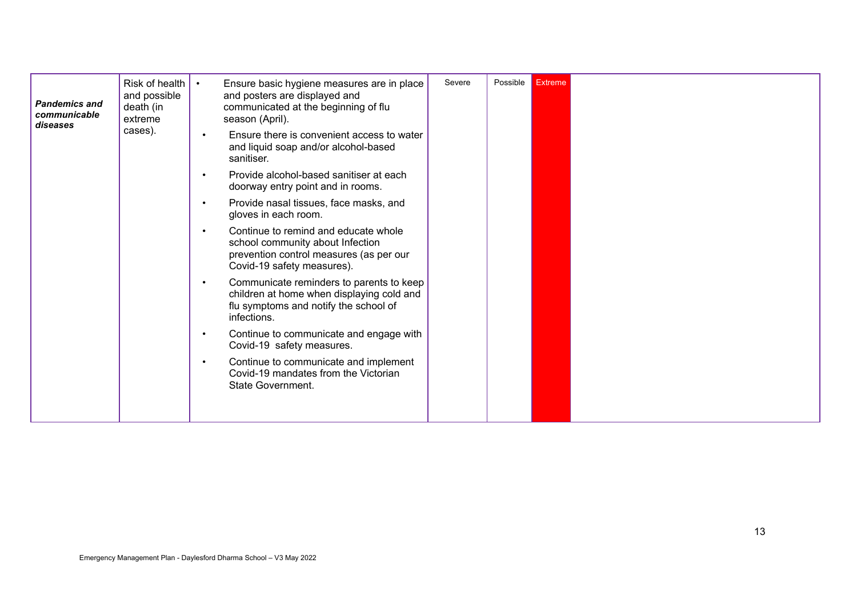| <b>Pandemics and</b><br>communicable<br>diseases | Risk of health<br>and possible<br>death (in<br>extreme | Ensure basic hygiene measures are in place<br>$\bullet$<br>and posters are displayed and<br>communicated at the beginning of flu<br>season (April).            | Severe | Possible | <b>Extreme</b> |  |
|--------------------------------------------------|--------------------------------------------------------|----------------------------------------------------------------------------------------------------------------------------------------------------------------|--------|----------|----------------|--|
|                                                  | cases).                                                | Ensure there is convenient access to water<br>$\bullet$<br>and liquid soap and/or alcohol-based<br>sanitiser.                                                  |        |          |                |  |
|                                                  |                                                        | Provide alcohol-based sanitiser at each<br>$\bullet$<br>doorway entry point and in rooms.                                                                      |        |          |                |  |
|                                                  |                                                        | Provide nasal tissues, face masks, and<br>$\bullet$<br>gloves in each room.                                                                                    |        |          |                |  |
|                                                  |                                                        | Continue to remind and educate whole<br>$\bullet$<br>school community about Infection<br>prevention control measures (as per our<br>Covid-19 safety measures). |        |          |                |  |
|                                                  |                                                        | Communicate reminders to parents to keep<br>$\bullet$<br>children at home when displaying cold and<br>flu symptoms and notify the school of<br>infections.     |        |          |                |  |
|                                                  |                                                        | Continue to communicate and engage with<br>$\bullet$<br>Covid-19 safety measures.                                                                              |        |          |                |  |
|                                                  |                                                        | Continue to communicate and implement<br>Covid-19 mandates from the Victorian<br>State Government.                                                             |        |          |                |  |
|                                                  |                                                        |                                                                                                                                                                |        |          |                |  |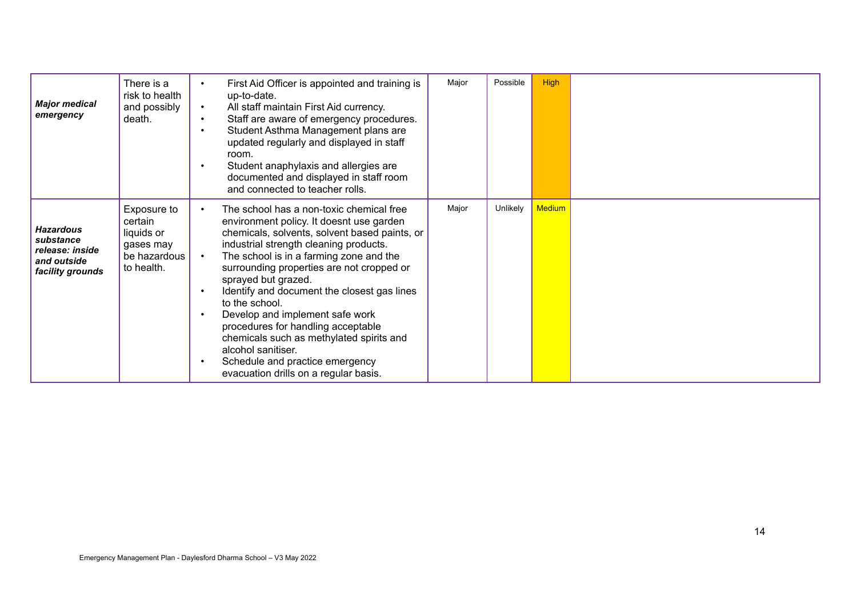| <b>Major medical</b><br>emergency                                                   | There is a<br>risk to health<br>and possibly<br>death.                          | $\bullet$<br>$\bullet$                                        | First Aid Officer is appointed and training is<br>up-to-date.<br>All staff maintain First Aid currency.<br>Staff are aware of emergency procedures.<br>Student Asthma Management plans are<br>updated regularly and displayed in staff<br>room.<br>Student anaphylaxis and allergies are<br>documented and displayed in staff room<br>and connected to teacher rolls.                                                                                                                                                                                                                  | Major | Possible | <b>High</b>   |  |
|-------------------------------------------------------------------------------------|---------------------------------------------------------------------------------|---------------------------------------------------------------|----------------------------------------------------------------------------------------------------------------------------------------------------------------------------------------------------------------------------------------------------------------------------------------------------------------------------------------------------------------------------------------------------------------------------------------------------------------------------------------------------------------------------------------------------------------------------------------|-------|----------|---------------|--|
| <b>Hazardous</b><br>substance<br>release: inside<br>and outside<br>facility grounds | Exposure to<br>certain<br>liquids or<br>gases may<br>be hazardous<br>to health. | $\bullet$<br>$\bullet$<br>$\bullet$<br>$\bullet$<br>$\bullet$ | The school has a non-toxic chemical free<br>environment policy. It doesnt use garden<br>chemicals, solvents, solvent based paints, or<br>industrial strength cleaning products.<br>The school is in a farming zone and the<br>surrounding properties are not cropped or<br>sprayed but grazed.<br>Identify and document the closest gas lines<br>to the school.<br>Develop and implement safe work<br>procedures for handling acceptable<br>chemicals such as methylated spirits and<br>alcohol sanitiser.<br>Schedule and practice emergency<br>evacuation drills on a regular basis. | Major | Unlikely | <b>Medium</b> |  |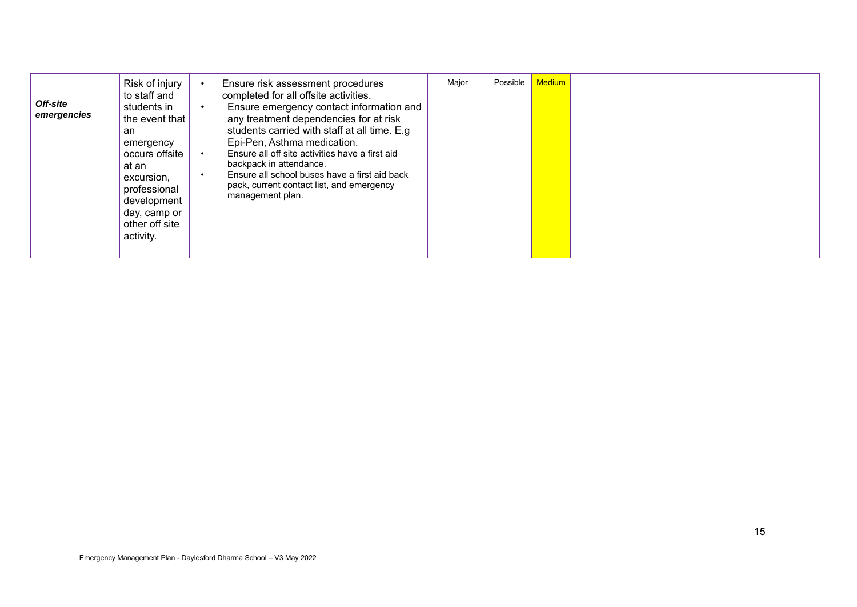| Off-site<br>emergencies | Risk of injury<br>to staff and<br>students in<br>the event that<br>an<br>emergency<br>occurs offsite<br>at an<br>excursion,<br>professional<br>development<br>day, camp or<br>other off site<br>activity. | Ensure risk assessment procedures<br>completed for all offsite activities.<br>Ensure emergency contact information and<br>$\bullet$<br>any treatment dependencies for at risk<br>students carried with staff at all time. E.g.<br>Epi-Pen, Asthma medication.<br>Ensure all off site activities have a first aid<br>backpack in attendance.<br>Ensure all school buses have a first aid back<br>pack, current contact list, and emergency<br>management plan. | Major | Possible | <b>Medium</b> |  |
|-------------------------|-----------------------------------------------------------------------------------------------------------------------------------------------------------------------------------------------------------|---------------------------------------------------------------------------------------------------------------------------------------------------------------------------------------------------------------------------------------------------------------------------------------------------------------------------------------------------------------------------------------------------------------------------------------------------------------|-------|----------|---------------|--|
|-------------------------|-----------------------------------------------------------------------------------------------------------------------------------------------------------------------------------------------------------|---------------------------------------------------------------------------------------------------------------------------------------------------------------------------------------------------------------------------------------------------------------------------------------------------------------------------------------------------------------------------------------------------------------------------------------------------------------|-------|----------|---------------|--|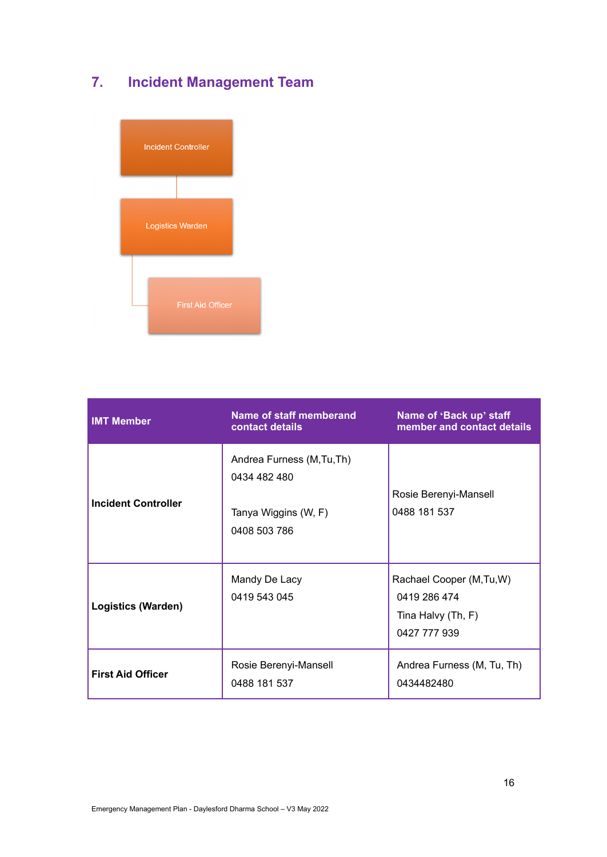## **7. Incident Management Team**



| <b>IMT Member</b>          | Name of staff memberand<br>contact details                                         | Name of 'Back up' staff<br>member and contact details                           |
|----------------------------|------------------------------------------------------------------------------------|---------------------------------------------------------------------------------|
| <b>Incident Controller</b> | Andrea Furness (M, Tu, Th)<br>0434 482 480<br>Tanya Wiggins (W, F)<br>0408 503 786 | Rosie Berenyi-Mansell<br>0488 181 537                                           |
| <b>Logistics (Warden)</b>  | Mandy De Lacy<br>0419 543 045                                                      | Rachael Cooper (M, Tu, W)<br>0419 286 474<br>Tina Halvy (Th, F)<br>0427 777 939 |
| <b>First Aid Officer</b>   | Rosie Berenyi-Mansell<br>0488 181 537                                              | Andrea Furness (M, Tu, Th)<br>0434482480                                        |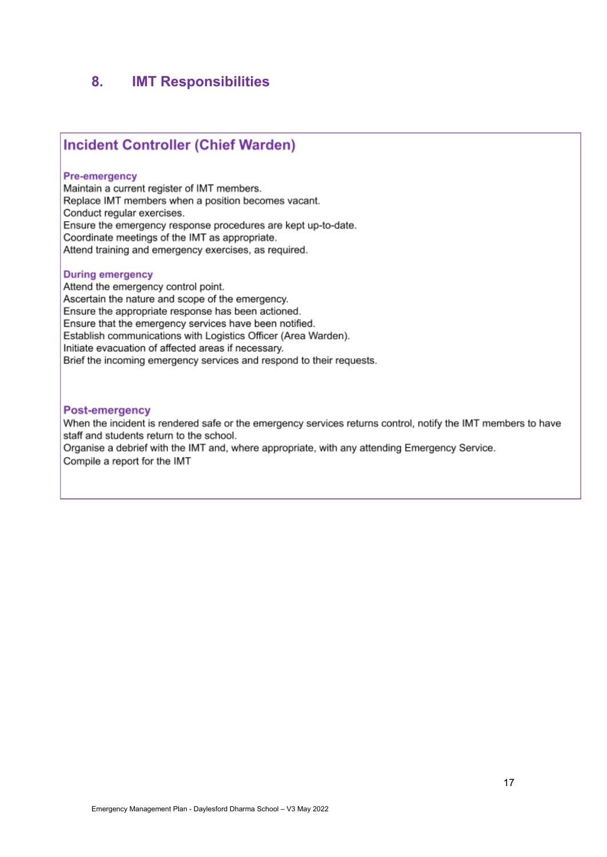### **8. IMT Responsibilities**

### **Incident Controller (Chief Warden)**

### **Pre-emergency**

Maintain a current register of IMT members. Replace IMT members when a position becomes vacant. Conduct regular exercises. Ensure the emergency response procedures are kept up-to-date. Coordinate meetings of the IMT as appropriate. Attend training and emergency exercises, as required.

#### **During emergency**

Attend the emergency control point. Ascertain the nature and scope of the emergency. Ensure the appropriate response has been actioned. Ensure that the emergency services have been notified. Establish communications with Logistics Officer (Area Warden). Initiate evacuation of affected areas if necessary. Brief the incoming emergency services and respond to their requests.

### **Post-emergency**

When the incident is rendered safe or the emergency services returns control, notify the IMT members to have staff and students return to the school.

Organise a debrief with the IMT and, where appropriate, with any attending Emergency Service. Compile a report for the IMT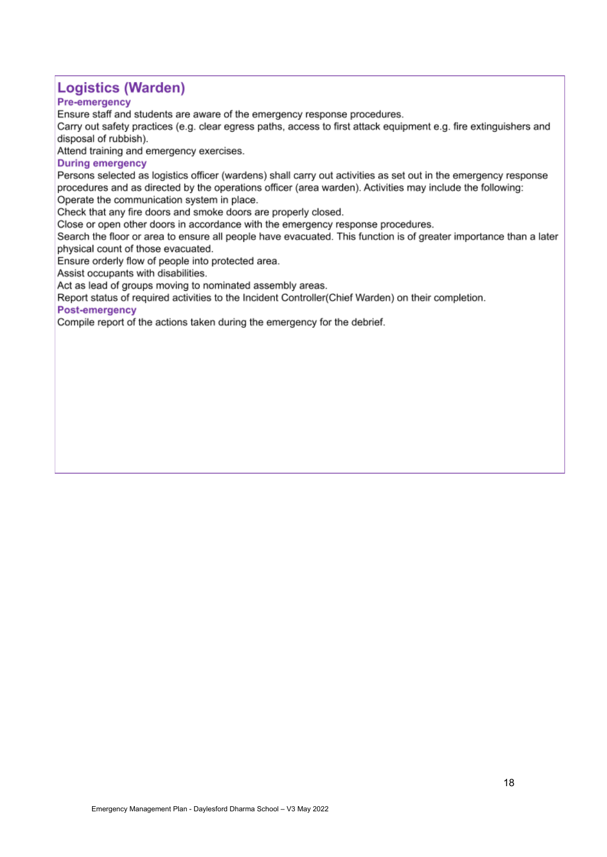### **Logistics (Warden)**

### **Pre-emergency**

Ensure staff and students are aware of the emergency response procedures.

Carry out safety practices (e.g. clear egress paths, access to first attack equipment e.g. fire extinguishers and disposal of rubbish).

Attend training and emergency exercises.

### **During emergency**

Persons selected as logistics officer (wardens) shall carry out activities as set out in the emergency response procedures and as directed by the operations officer (area warden). Activities may include the following: Operate the communication system in place.

Check that any fire doors and smoke doors are properly closed.

Close or open other doors in accordance with the emergency response procedures.

Search the floor or area to ensure all people have evacuated. This function is of greater importance than a later physical count of those evacuated.

Ensure orderly flow of people into protected area.

Assist occupants with disabilities.

Act as lead of groups moving to nominated assembly areas.

Report status of required activities to the Incident Controller(Chief Warden) on their completion.

### Post-emergency

Compile report of the actions taken during the emergency for the debrief.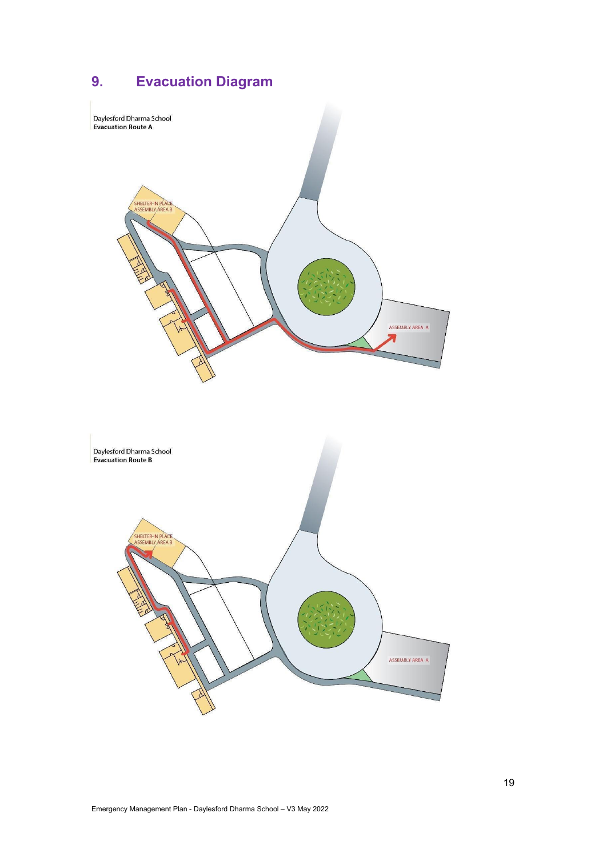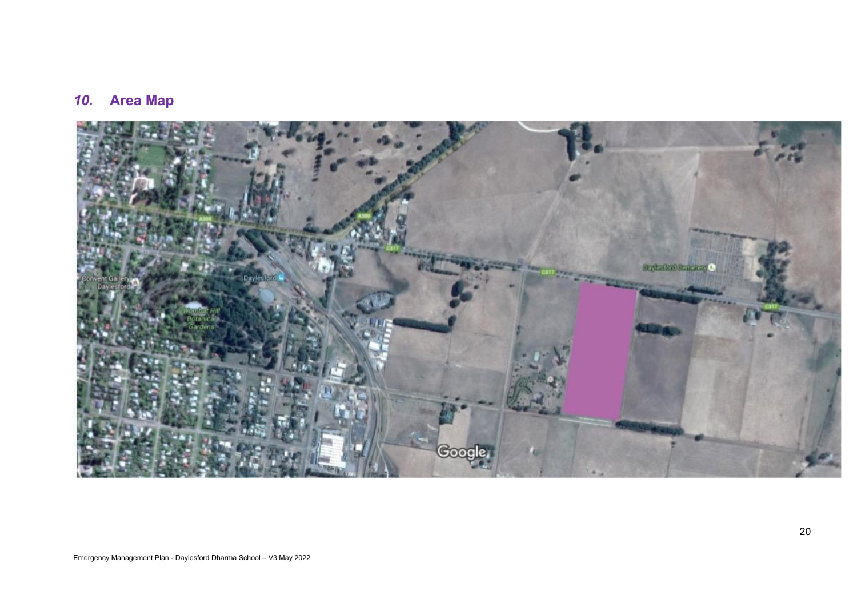## *10.* **Area Map**

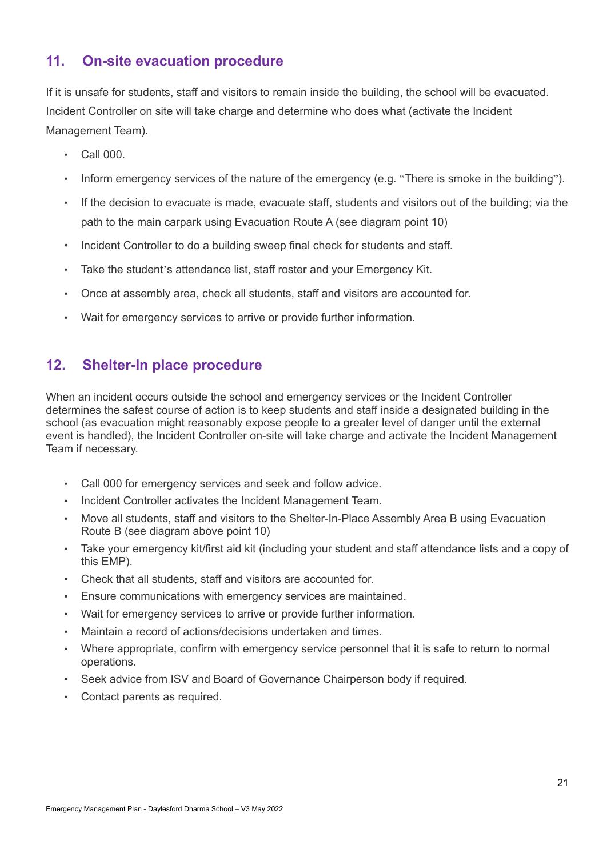### **11. On-site evacuation procedure**

If it is unsafe for students, staff and visitors to remain inside the building, the school will be evacuated. Incident Controller on site will take charge and determine who does what (activate the Incident Management Team).

- Call 000.
- Inform emergency services of the nature of the emergency (e.g. "There is smoke in the building").
- If the decision to evacuate is made, evacuate staff, students and visitors out of the building; via the path to the main carpark using Evacuation Route A (see diagram point 10)
- Incident Controller to do a building sweep final check for students and staff.
- Take the student's attendance list, staff roster and your Emergency Kit.
- Once at assembly area, check all students, staff and visitors are accounted for.
- Wait for emergency services to arrive or provide further information.

### **12. Shelter-In place procedure**

When an incident occurs outside the school and emergency services or the Incident Controller determines the safest course of action is to keep students and staff inside a designated building in the school (as evacuation might reasonably expose people to a greater level of danger until the external event is handled), the Incident Controller on-site will take charge and activate the Incident Management Team if necessary.

- Call 000 for emergency services and seek and follow advice.
- Incident Controller activates the Incident Management Team.
- Move all students, staff and visitors to the Shelter-In-Place Assembly Area B using Evacuation Route B (see diagram above point 10)
- Take your emergency kit/first aid kit (including your student and staff attendance lists and a copy of this EMP).
- Check that all students, staff and visitors are accounted for.
- Ensure communications with emergency services are maintained.
- Wait for emergency services to arrive or provide further information.
- Maintain a record of actions/decisions undertaken and times.
- Where appropriate, confirm with emergency service personnel that it is safe to return to normal operations.
- Seek advice from ISV and Board of Governance Chairperson body if required.
- Contact parents as required.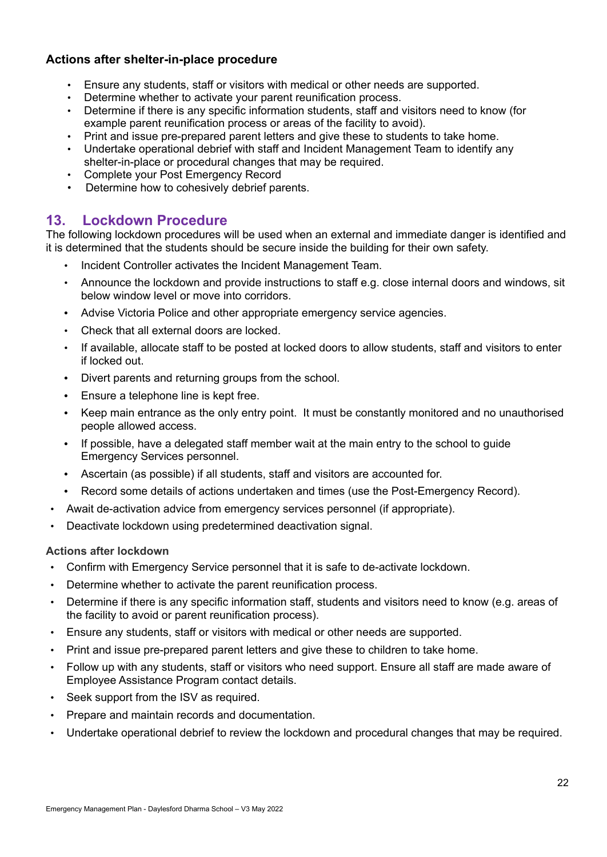### **Actions after shelter-in-place procedure**

- Ensure any students, staff or visitors with medical or other needs are supported.
- Determine whether to activate your parent reunification process.
- Determine if there is any specific information students, staff and visitors need to know (for example parent reunification process or areas of the facility to avoid).
- Print and issue pre-prepared parent letters and give these to students to take home.
- Undertake operational debrief with staff and Incident Management Team to identify any shelter-in-place or procedural changes that may be required.
- Complete your Post Emergency Record
- Determine how to cohesively debrief parents.

### **13. Lockdown Procedure**

The following lockdown procedures will be used when an external and immediate danger is identified and it is determined that the students should be secure inside the building for their own safety.

- Incident Controller activates the Incident Management Team.
- Announce the lockdown and provide instructions to staff e.g. close internal doors and windows, sit below window level or move into corridors.
- **•** Advise Victoria Police and other appropriate emergency service agencies.
- Check that all external doors are locked.
- If available, allocate staff to be posted at locked doors to allow students, staff and visitors to enter if locked out.
- **•** Divert parents and returning groups from the school.
- **•** Ensure a telephone line is kept free.
- **•** Keep main entrance as the only entry point. It must be constantly monitored and no unauthorised people allowed access.
- **•** If possible, have a delegated staff member wait at the main entry to the school to guide Emergency Services personnel.
- **•** Ascertain (as possible) if all students, staff and visitors are accounted for.
- **•** Record some details of actions undertaken and times (use the Post-Emergency Record).
- Await de-activation advice from emergency services personnel (if appropriate).
- Deactivate lockdown using predetermined deactivation signal.

### **Actions after lockdown**

- Confirm with Emergency Service personnel that it is safe to de-activate lockdown.
- Determine whether to activate the parent reunification process.
- Determine if there is any specific information staff, students and visitors need to know (e.g. areas of the facility to avoid or parent reunification process).
- Ensure any students, staff or visitors with medical or other needs are supported.
- Print and issue pre-prepared parent letters and give these to children to take home.
- Follow up with any students, staff or visitors who need support. Ensure all staff are made aware of Employee Assistance Program contact details.
- Seek support from the ISV as required.
- Prepare and maintain records and documentation.
- Undertake operational debrief to review the lockdown and procedural changes that may be required.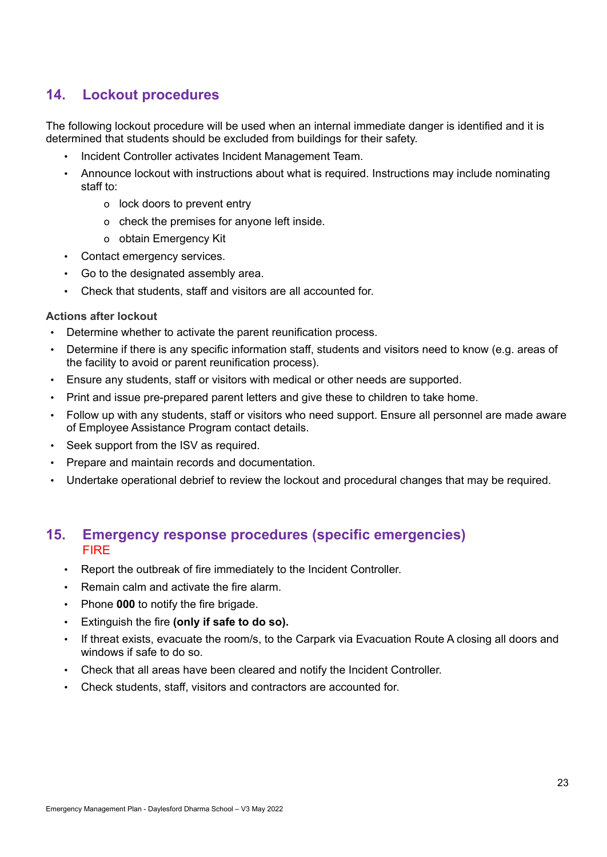### **14. Lockout procedures**

The following lockout procedure will be used when an internal immediate danger is identified and it is determined that students should be excluded from buildings for their safety.

- Incident Controller activates Incident Management Team.
- Announce lockout with instructions about what is required. Instructions may include nominating staff to:
	- o lock doors to prevent entry
	- o check the premises for anyone left inside.
	- o obtain Emergency Kit
- Contact emergency services.
- Go to the designated assembly area.
- Check that students, staff and visitors are all accounted for.

### **Actions after lockout**

- Determine whether to activate the parent reunification process.
- Determine if there is any specific information staff, students and visitors need to know (e.g. areas of the facility to avoid or parent reunification process).
- Ensure any students, staff or visitors with medical or other needs are supported.
- Print and issue pre-prepared parent letters and give these to children to take home.
- Follow up with any students, staff or visitors who need support. Ensure all personnel are made aware of Employee Assistance Program contact details.
- Seek support from the ISV as required.
- Prepare and maintain records and documentation.
- Undertake operational debrief to review the lockout and procedural changes that may be required.

### **15. Emergency response procedures (specific emergencies)** FIRE

- Report the outbreak of fire immediately to the Incident Controller.
- Remain calm and activate the fire alarm.
- Phone **000** to notify the fire brigade.
- Extinguish the fire **(only if safe to do so).**
- If threat exists, evacuate the room/s, to the Carpark via Evacuation Route A closing all doors and windows if safe to do so.
- Check that all areas have been cleared and notify the Incident Controller.
- Check students, staff, visitors and contractors are accounted for.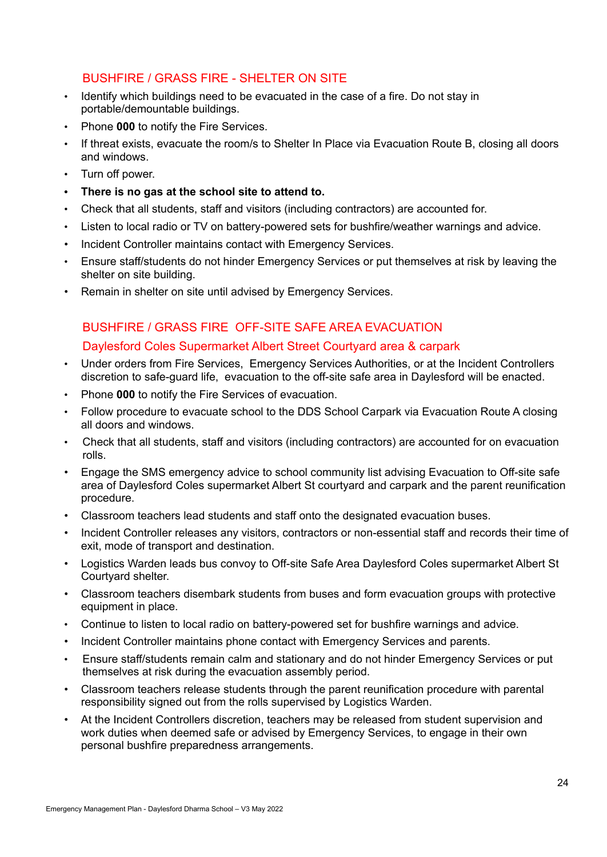### BUSHFIRE / GRASS FIRE - SHELTER ON SITE

- Identify which buildings need to be evacuated in the case of a fire. Do not stay in portable/demountable buildings.
- Phone **000** to notify the Fire Services.
- If threat exists, evacuate the room/s to Shelter In Place via Evacuation Route B, closing all doors and windows.
- Turn off power.
- **• There is no gas at the school site to attend to.**
- Check that all students, staff and visitors (including contractors) are accounted for.
- Listen to local radio or TV on battery-powered sets for bushfire/weather warnings and advice.
- Incident Controller maintains contact with Emergency Services.
- Ensure staff/students do not hinder Emergency Services or put themselves at risk by leaving the shelter on site building.
- Remain in shelter on site until advised by Emergency Services.

## BUSHFIRE / GRASS FIRE OFF-SITE SAFE AREA EVACUATION

- Daylesford Coles Supermarket Albert Street Courtyard area & carpark
- Under orders from Fire Services, Emergency Services Authorities, or at the Incident Controllers discretion to safe-guard life, evacuation to the off-site safe area in Daylesford will be enacted.
- Phone **000** to notify the Fire Services of evacuation.
- Follow procedure to evacuate school to the DDS School Carpark via Evacuation Route A closing all doors and windows.
- Check that all students, staff and visitors (including contractors) are accounted for on evacuation rolls.
- Engage the SMS emergency advice to school community list advising Evacuation to Off-site safe area of Daylesford Coles supermarket Albert St courtyard and carpark and the parent reunification procedure.
- Classroom teachers lead students and staff onto the designated evacuation buses.
- Incident Controller releases any visitors, contractors or non-essential staff and records their time of exit, mode of transport and destination.
- Logistics Warden leads bus convoy to Off-site Safe Area Daylesford Coles supermarket Albert St Courtyard shelter.
- Classroom teachers disembark students from buses and form evacuation groups with protective equipment in place.
- Continue to listen to local radio on battery-powered set for bushfire warnings and advice.
- Incident Controller maintains phone contact with Emergency Services and parents.
- Ensure staff/students remain calm and stationary and do not hinder Emergency Services or put themselves at risk during the evacuation assembly period.
- Classroom teachers release students through the parent reunification procedure with parental responsibility signed out from the rolls supervised by Logistics Warden.
- At the Incident Controllers discretion, teachers may be released from student supervision and work duties when deemed safe or advised by Emergency Services, to engage in their own personal bushfire preparedness arrangements.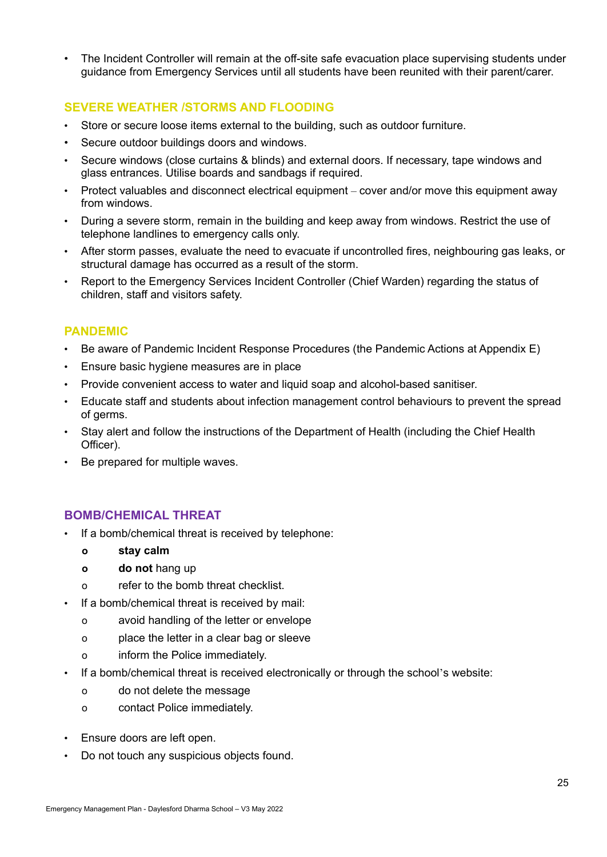The Incident Controller will remain at the off-site safe evacuation place supervising students under guidance from Emergency Services until all students have been reunited with their parent/carer.

### **SEVERE WEATHER /STORMS AND FLOODING**

- Store or secure loose items external to the building, such as outdoor furniture.
- Secure outdoor buildings doors and windows.
- Secure windows (close curtains & blinds) and external doors. If necessary, tape windows and glass entrances. Utilise boards and sandbags if required.
- Protect valuables and disconnect electrical equipment cover and/or move this equipment away from windows.
- During a severe storm, remain in the building and keep away from windows. Restrict the use of telephone landlines to emergency calls only.
- After storm passes, evaluate the need to evacuate if uncontrolled fires, neighbouring gas leaks, or structural damage has occurred as a result of the storm.
- Report to the Emergency Services Incident Controller (Chief Warden) regarding the status of children, staff and visitors safety.

### **PANDEMIC**

- Be aware of Pandemic Incident Response Procedures (the Pandemic Actions at Appendix E)
- Ensure basic hygiene measures are in place
- Provide convenient access to water and liquid soap and alcohol-based sanitiser.
- Educate staff and students about infection management control behaviours to prevent the spread of germs.
- Stay alert and follow the instructions of the Department of Health (including the Chief Health Officer).
- Be prepared for multiple waves.

### **BOMB/CHEMICAL THREAT**

- If a bomb/chemical threat is received by telephone:
	- **o stay calm**
	- **o do not** hang up
	- o refer to the bomb threat checklist.
	- If a bomb/chemical threat is received by mail:
		- o avoid handling of the letter or envelope
		- o place the letter in a clear bag or sleeve
		- o inform the Police immediately.
- If a bomb/chemical threat is received electronically or through the school's website:
	- o do not delete the message
	- o contact Police immediately.
- Ensure doors are left open.
- Do not touch any suspicious objects found.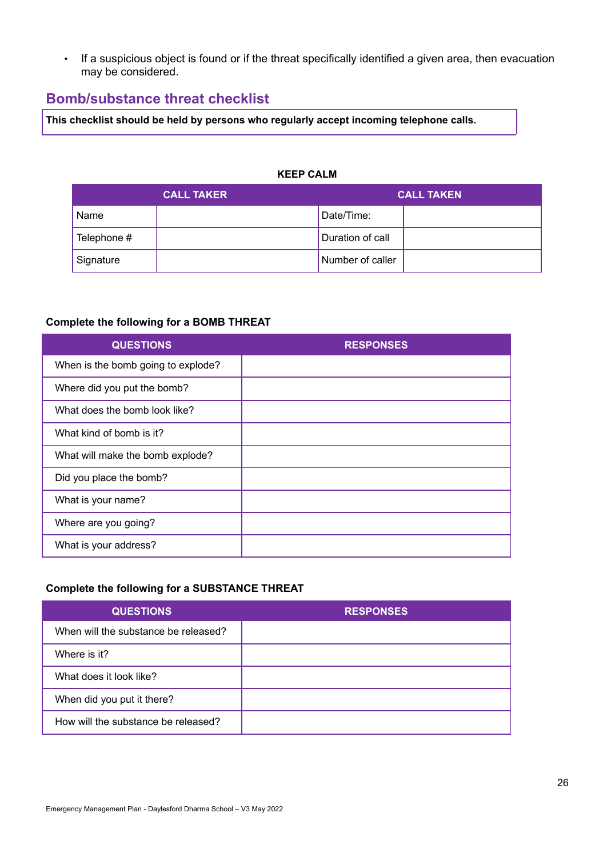• If a suspicious object is found or if the threat specifically identified a given area, then evacuation may be considered.

### **Bomb/substance threat checklist**

**This checklist should be held by persons who regularly accept incoming telephone calls.**

### **KEEP CALM**

|             | <b>CALL TAKER</b> | <b>CALL TAKEN</b> |  |  |
|-------------|-------------------|-------------------|--|--|
| Name        |                   | Date/Time:        |  |  |
| Telephone # |                   | Duration of call  |  |  |
| Signature   |                   | Number of caller  |  |  |

### **Complete the following for a BOMB THREAT**

| <b>QUESTIONS</b>                   | <b>RESPONSES</b> |
|------------------------------------|------------------|
| When is the bomb going to explode? |                  |
| Where did you put the bomb?        |                  |
| What does the bomb look like?      |                  |
| What kind of bomb is it?           |                  |
| What will make the bomb explode?   |                  |
| Did you place the bomb?            |                  |
| What is your name?                 |                  |
| Where are you going?               |                  |
| What is your address?              |                  |

### **Complete the following for a SUBSTANCE THREAT**

| <b>QUESTIONS</b>                     | <b>RESPONSES</b> |
|--------------------------------------|------------------|
| When will the substance be released? |                  |
| Where is it?                         |                  |
| What does it look like?              |                  |
| When did you put it there?           |                  |
| How will the substance be released?  |                  |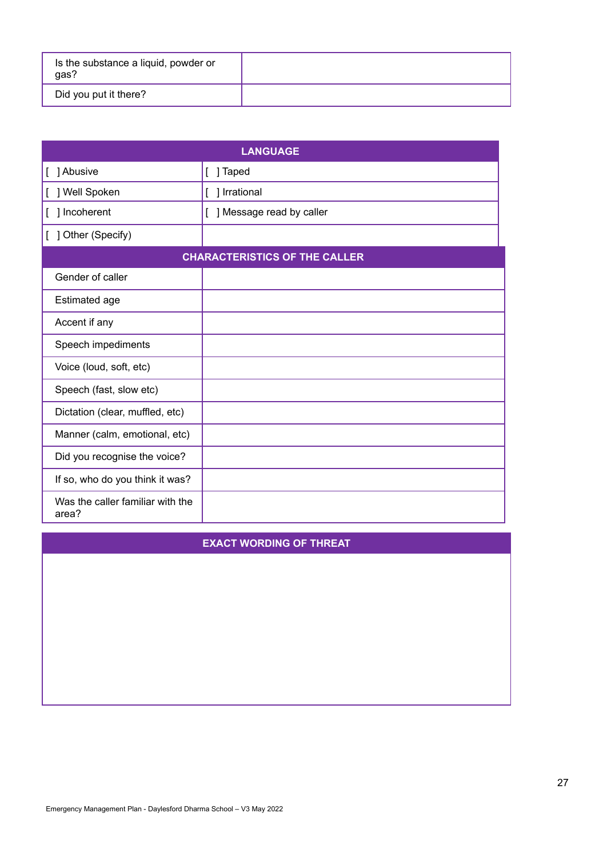| Is the substance a liquid, powder or<br>gas? |  |
|----------------------------------------------|--|
| Did you put it there?                        |  |

| <b>LANGUAGE</b>                           |                                      |  |  |  |  |  |
|-------------------------------------------|--------------------------------------|--|--|--|--|--|
| 1 Abusive                                 | ] Taped<br>L                         |  |  |  |  |  |
| ] Well Spoken<br>L                        | [ ] Irrational                       |  |  |  |  |  |
| ] Incoherent<br>L                         | ] Message read by caller<br>L        |  |  |  |  |  |
| ] Other (Specify)                         |                                      |  |  |  |  |  |
|                                           | <b>CHARACTERISTICS OF THE CALLER</b> |  |  |  |  |  |
| Gender of caller                          |                                      |  |  |  |  |  |
| <b>Estimated age</b>                      |                                      |  |  |  |  |  |
| Accent if any                             |                                      |  |  |  |  |  |
| Speech impediments                        |                                      |  |  |  |  |  |
| Voice (loud, soft, etc)                   |                                      |  |  |  |  |  |
| Speech (fast, slow etc)                   |                                      |  |  |  |  |  |
| Dictation (clear, muffled, etc)           |                                      |  |  |  |  |  |
| Manner (calm, emotional, etc)             |                                      |  |  |  |  |  |
| Did you recognise the voice?              |                                      |  |  |  |  |  |
| If so, who do you think it was?           |                                      |  |  |  |  |  |
| Was the caller familiar with the<br>area? |                                      |  |  |  |  |  |

### **EXACT WORDING OF THREAT**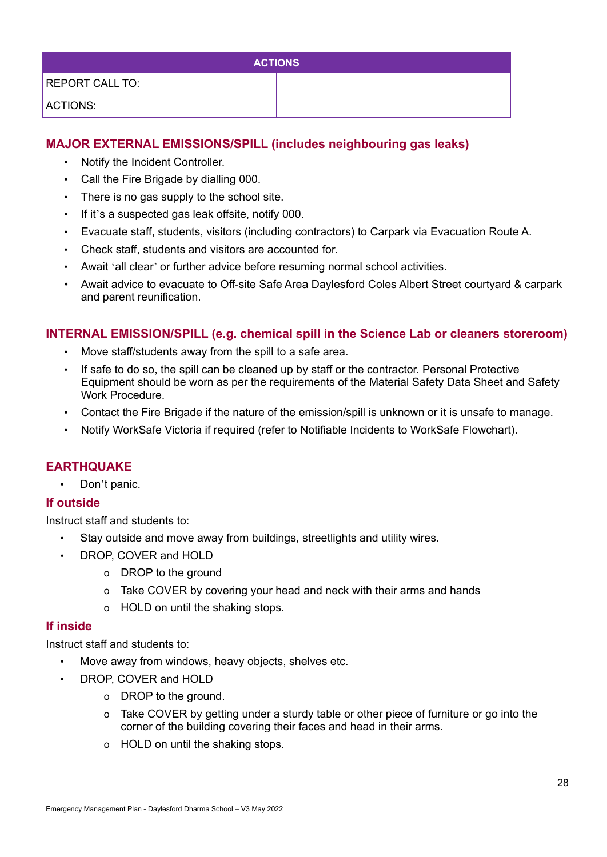| <b>ACTIONS</b>         |  |  |  |  |  |
|------------------------|--|--|--|--|--|
| <b>REPORT CALL TO:</b> |  |  |  |  |  |
| ACTIONS:               |  |  |  |  |  |

### **MAJOR EXTERNAL EMISSIONS/SPILL (includes neighbouring gas leaks)**

- Notify the Incident Controller.
- Call the Fire Brigade by dialling 000.
- There is no gas supply to the school site.
- If it's a suspected gas leak offsite, notify 000.
- Evacuate staff, students, visitors (including contractors) to Carpark via Evacuation Route A.
- Check staff, students and visitors are accounted for.
- Await 'all clear' or further advice before resuming normal school activities.
- Await advice to evacuate to Off-site Safe Area Daylesford Coles Albert Street courtyard & carpark and parent reunification.

### **INTERNAL EMISSION/SPILL (e.g. chemical spill in the Science Lab or cleaners storeroom)**

- Move staff/students away from the spill to a safe area.
- If safe to do so, the spill can be cleaned up by staff or the contractor. Personal Protective Equipment should be worn as per the requirements of the Material Safety Data Sheet and Safety Work Procedure.
- Contact the Fire Brigade if the nature of the emission/spill is unknown or it is unsafe to manage.
- Notify WorkSafe Victoria if required (refer to Notifiable Incidents to WorkSafe Flowchart).

### **EARTHQUAKE**

• Don't panic.

### **If outside**

Instruct staff and students to:

- Stay outside and move away from buildings, streetlights and utility wires.
- DROP, COVER and HOLD
	- o DROP to the ground
	- o Take COVER by covering your head and neck with their arms and hands
	- o HOLD on until the shaking stops.

### **If inside**

Instruct staff and students to:

- Move away from windows, heavy objects, shelves etc.
- DROP, COVER and HOLD
	- o DROP to the ground.
	- o Take COVER by getting under a sturdy table or other piece of furniture or go into the corner of the building covering their faces and head in their arms.
	- o HOLD on until the shaking stops.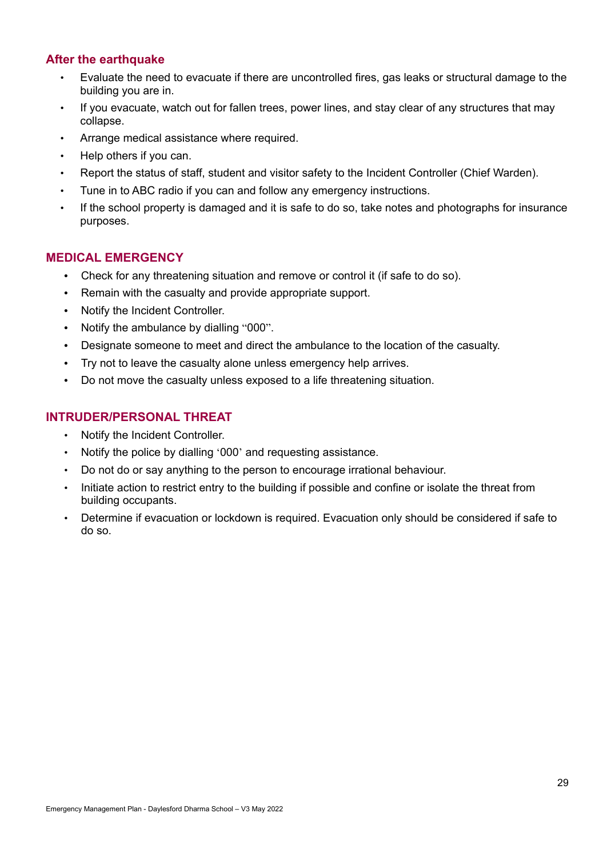### **After the earthquake**

- Evaluate the need to evacuate if there are uncontrolled fires, gas leaks or structural damage to the building you are in.
- If you evacuate, watch out for fallen trees, power lines, and stay clear of any structures that may collapse.
- Arrange medical assistance where required.
- Help others if you can.
- Report the status of staff, student and visitor safety to the Incident Controller (Chief Warden).
- Tune in to ABC radio if you can and follow any emergency instructions.
- If the school property is damaged and it is safe to do so, take notes and photographs for insurance purposes.

### **MEDICAL EMERGENCY**

- **•** Check for any threatening situation and remove or control it (if safe to do so).
- **•** Remain with the casualty and provide appropriate support.
- **•** Notify the Incident Controller.
- **•** Notify the ambulance by dialling "000".
- **•** Designate someone to meet and direct the ambulance to the location of the casualty.
- **•** Try not to leave the casualty alone unless emergency help arrives.
- **•** Do not move the casualty unless exposed to a life threatening situation.

### **INTRUDER/PERSONAL THREAT**

- Notify the Incident Controller.
- Notify the police by dialling '000' and requesting assistance.
- Do not do or say anything to the person to encourage irrational behaviour.
- Initiate action to restrict entry to the building if possible and confine or isolate the threat from building occupants.
- Determine if evacuation or lockdown is required. Evacuation only should be considered if safe to do so.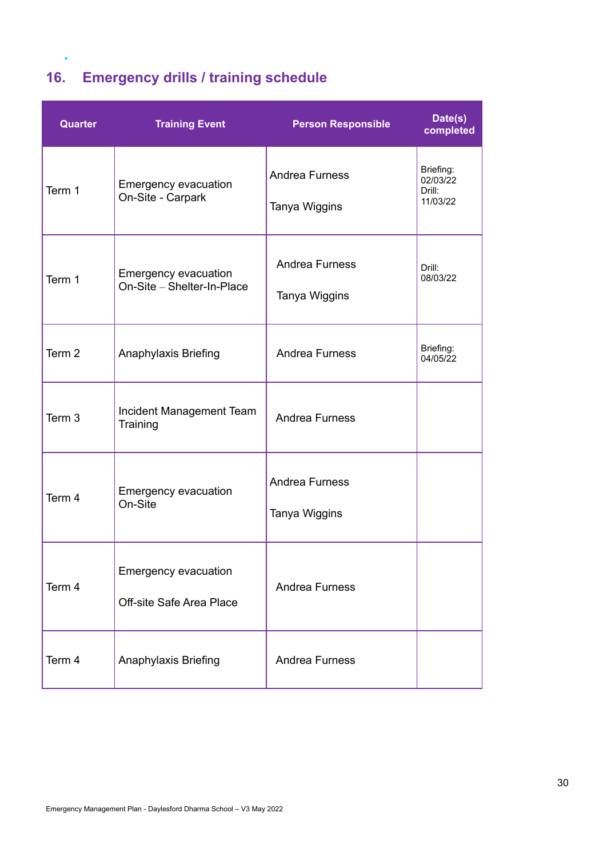## **16. Emergency drills / training schedule**

•

| Quarter           | <b>Training Event</b>                              | <b>Person Responsible</b>              | Date(s)<br>completed                        |
|-------------------|----------------------------------------------------|----------------------------------------|---------------------------------------------|
| Term 1            | Emergency evacuation<br>On-Site - Carpark          | <b>Andrea Furness</b><br>Tanya Wiggins | Briefing:<br>02/03/22<br>Drill:<br>11/03/22 |
| Term 1            | Emergency evacuation<br>On-Site - Shelter-In-Place | <b>Andrea Furness</b><br>Tanya Wiggins | Drill:<br>08/03/22                          |
| Term <sub>2</sub> | Anaphylaxis Briefing                               | <b>Andrea Furness</b>                  | Briefing:<br>04/05/22                       |
| Term 3            | Incident Management Team<br>Training               | <b>Andrea Furness</b>                  |                                             |
| Term 4            | Emergency evacuation<br>On-Site                    | <b>Andrea Furness</b><br>Tanya Wiggins |                                             |
| Term 4            | Emergency evacuation<br>Off-site Safe Area Place   | Andrea Furness                         |                                             |
| Term 4            | Anaphylaxis Briefing                               | <b>Andrea Furness</b>                  |                                             |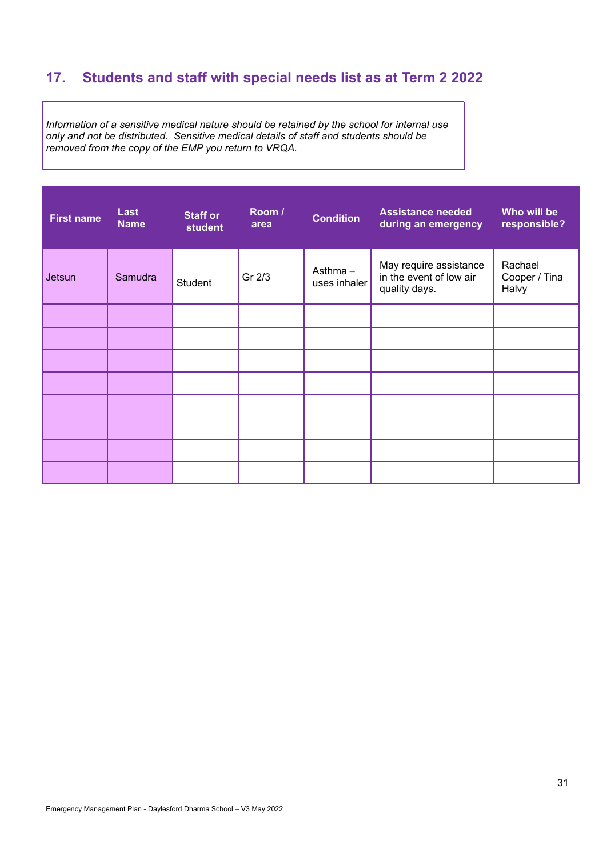## **17. Students and staff with special needs list as at Term 2 2022**

*Information of a sensitive medical nature should be retained by the school for internal use only and not be distributed. Sensitive medical details of staff and students should be removed from the copy of the EMP you return to VRQA.*

| <b>First name</b> | Last<br><b>Name</b> | <b>Staff or</b><br><b>student</b> | Room /<br>area | <b>Condition</b>           | <b>Assistance needed</b><br>during an emergency                    | Who will be<br>responsible?       |
|-------------------|---------------------|-----------------------------------|----------------|----------------------------|--------------------------------------------------------------------|-----------------------------------|
| Jetsun            | Samudra             | Student                           | Gr 2/3         | Asthma $-$<br>uses inhaler | May require assistance<br>in the event of low air<br>quality days. | Rachael<br>Cooper / Tina<br>Halvy |
|                   |                     |                                   |                |                            |                                                                    |                                   |
|                   |                     |                                   |                |                            |                                                                    |                                   |
|                   |                     |                                   |                |                            |                                                                    |                                   |
|                   |                     |                                   |                |                            |                                                                    |                                   |
|                   |                     |                                   |                |                            |                                                                    |                                   |
|                   |                     |                                   |                |                            |                                                                    |                                   |
|                   |                     |                                   |                |                            |                                                                    |                                   |
|                   |                     |                                   |                |                            |                                                                    |                                   |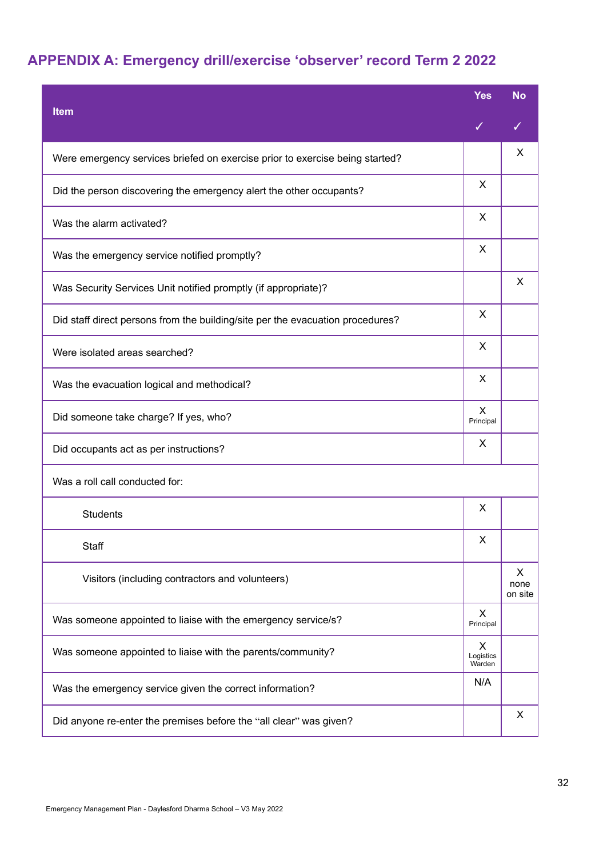## **APPENDIX A: Emergency drill/exercise 'observer' record Term 2 2022**

|                                                                                | <b>Yes</b>               | <b>No</b>            |
|--------------------------------------------------------------------------------|--------------------------|----------------------|
| <b>Item</b>                                                                    | ✓                        |                      |
| Were emergency services briefed on exercise prior to exercise being started?   |                          | X                    |
| Did the person discovering the emergency alert the other occupants?            | X                        |                      |
| Was the alarm activated?                                                       | X                        |                      |
| Was the emergency service notified promptly?                                   | X                        |                      |
| Was Security Services Unit notified promptly (if appropriate)?                 |                          | X                    |
| Did staff direct persons from the building/site per the evacuation procedures? | X                        |                      |
| Were isolated areas searched?                                                  | X                        |                      |
| Was the evacuation logical and methodical?                                     | X                        |                      |
| Did someone take charge? If yes, who?                                          | X<br>Principal           |                      |
| Did occupants act as per instructions?                                         | X                        |                      |
| Was a roll call conducted for:                                                 |                          |                      |
| <b>Students</b>                                                                | X                        |                      |
| Staff                                                                          | Χ                        |                      |
| Visitors (including contractors and volunteers)                                |                          | X<br>none<br>on site |
| Was someone appointed to liaise with the emergency service/s?                  | X<br>Principal           |                      |
| Was someone appointed to liaise with the parents/community?                    | X<br>Logistics<br>Warden |                      |
| Was the emergency service given the correct information?                       | N/A                      |                      |
| Did anyone re-enter the premises before the "all clear" was given?             |                          | X                    |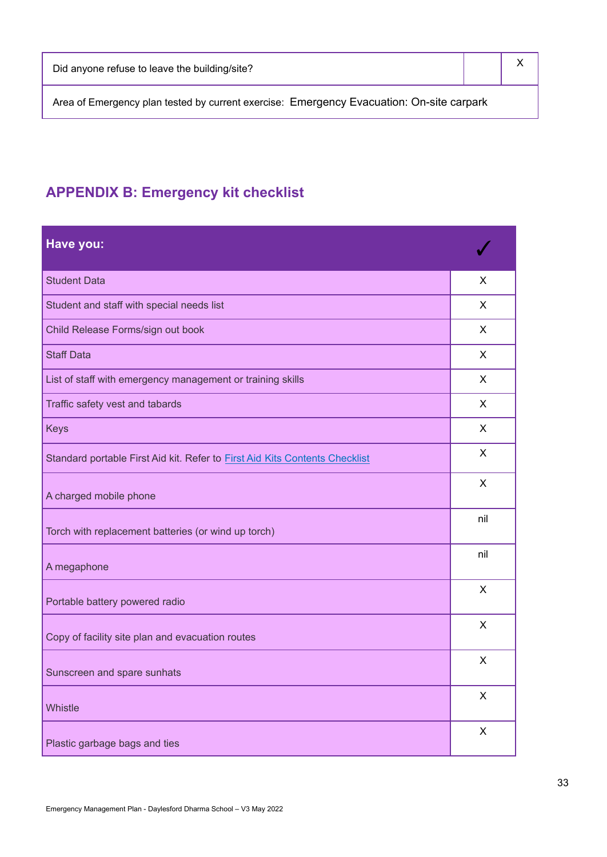Area of Emergency plan tested by current exercise: Emergency Evacuation: On-site carpark

## **APPENDIX B: Emergency kit checklist**

| Have you:                                                                   |                           |
|-----------------------------------------------------------------------------|---------------------------|
| <b>Student Data</b>                                                         | X                         |
| Student and staff with special needs list                                   | X                         |
| Child Release Forms/sign out book                                           | X                         |
| <b>Staff Data</b>                                                           | $\mathsf{X}$              |
| List of staff with emergency management or training skills                  | X                         |
| Traffic safety vest and tabards                                             | X                         |
| <b>Keys</b>                                                                 | $\mathsf{X}$              |
| Standard portable First Aid kit. Refer to First Aid Kits Contents Checklist | X                         |
| A charged mobile phone                                                      | X                         |
| Torch with replacement batteries (or wind up torch)                         | nil                       |
| A megaphone                                                                 | nil                       |
| Portable battery powered radio                                              | $\mathsf{X}$              |
| Copy of facility site plan and evacuation routes                            | $\mathsf{X}$              |
| Sunscreen and spare sunhats                                                 | $\boldsymbol{\mathsf{X}}$ |
| Whistle                                                                     | $\sf X$                   |
| Plastic garbage bags and ties                                               | $\times$                  |

X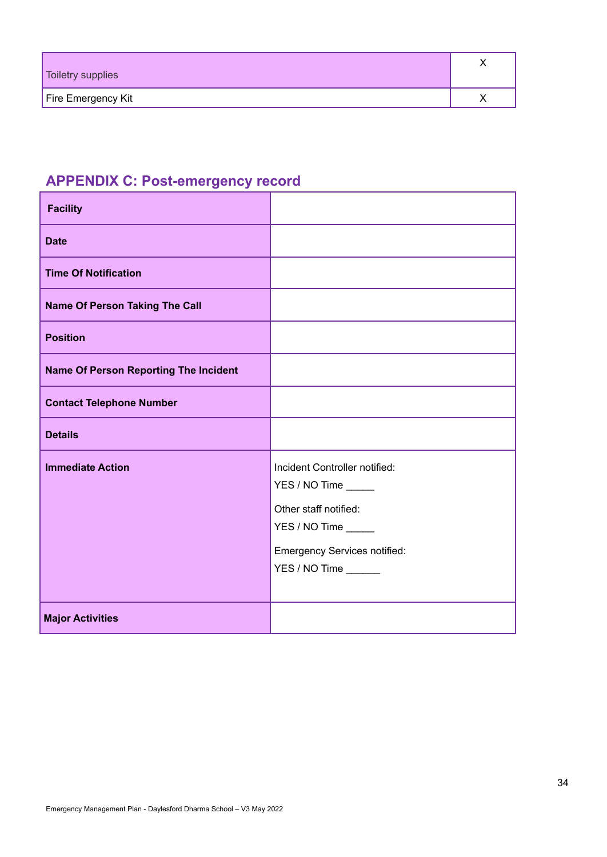| Toiletry supplies  |  |
|--------------------|--|
| Fire Emergency Kit |  |

## **APPENDIX C: Post-emergency record**

| <b>Facility</b>                              |                                                                                                                                                               |
|----------------------------------------------|---------------------------------------------------------------------------------------------------------------------------------------------------------------|
| <b>Date</b>                                  |                                                                                                                                                               |
| <b>Time Of Notification</b>                  |                                                                                                                                                               |
| <b>Name Of Person Taking The Call</b>        |                                                                                                                                                               |
| <b>Position</b>                              |                                                                                                                                                               |
| <b>Name Of Person Reporting The Incident</b> |                                                                                                                                                               |
| <b>Contact Telephone Number</b>              |                                                                                                                                                               |
| <b>Details</b>                               |                                                                                                                                                               |
| <b>Immediate Action</b>                      | Incident Controller notified:<br>YES / NO Time _____<br>Other staff notified:<br>YES / NO Time<br><b>Emergency Services notified:</b><br>YES / NO Time ______ |
| <b>Major Activities</b>                      |                                                                                                                                                               |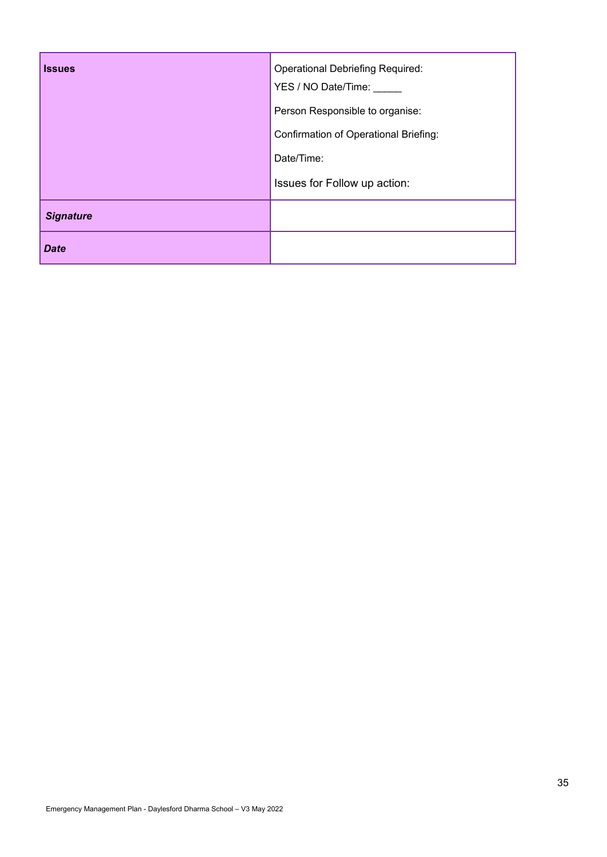| <b>Issues</b>    | <b>Operational Debriefing Required:</b><br>YES / NO Date/Time:<br>Person Responsible to organise: |
|------------------|---------------------------------------------------------------------------------------------------|
|                  | Confirmation of Operational Briefing:                                                             |
|                  | Date/Time:                                                                                        |
|                  | Issues for Follow up action:                                                                      |
| <b>Signature</b> |                                                                                                   |
| <b>Date</b>      |                                                                                                   |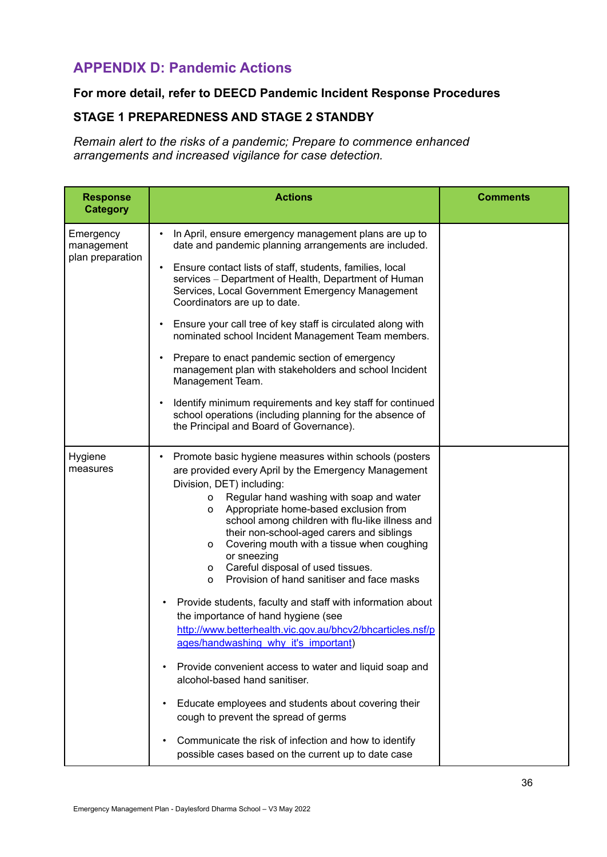### **APPENDIX D: Pandemic Actions**

### **For more detail, refer to DEECD Pandemic Incident Response Procedures**

### **STAGE 1 PREPAREDNESS AND STAGE 2 STANDBY**

*Remain alert to the risks of a pandemic; Prepare to commence enhanced arrangements and increased vigilance for case detection.*

| <b>Actions</b>                                                                                                                                                                                                                                                                                                                                                                                                                                                                                                                                                                                                                                                                                                                                                                                                                                                                                                                                                                                                                         | <b>Comments</b> |
|----------------------------------------------------------------------------------------------------------------------------------------------------------------------------------------------------------------------------------------------------------------------------------------------------------------------------------------------------------------------------------------------------------------------------------------------------------------------------------------------------------------------------------------------------------------------------------------------------------------------------------------------------------------------------------------------------------------------------------------------------------------------------------------------------------------------------------------------------------------------------------------------------------------------------------------------------------------------------------------------------------------------------------------|-----------------|
| In April, ensure emergency management plans are up to<br>date and pandemic planning arrangements are included.                                                                                                                                                                                                                                                                                                                                                                                                                                                                                                                                                                                                                                                                                                                                                                                                                                                                                                                         |                 |
| Ensure contact lists of staff, students, families, local<br>$\bullet$<br>services - Department of Health, Department of Human<br>Services, Local Government Emergency Management<br>Coordinators are up to date.                                                                                                                                                                                                                                                                                                                                                                                                                                                                                                                                                                                                                                                                                                                                                                                                                       |                 |
| Ensure your call tree of key staff is circulated along with<br>٠<br>nominated school Incident Management Team members.                                                                                                                                                                                                                                                                                                                                                                                                                                                                                                                                                                                                                                                                                                                                                                                                                                                                                                                 |                 |
| Prepare to enact pandemic section of emergency<br>$\bullet$<br>management plan with stakeholders and school Incident<br>Management Team.                                                                                                                                                                                                                                                                                                                                                                                                                                                                                                                                                                                                                                                                                                                                                                                                                                                                                               |                 |
| Identify minimum requirements and key staff for continued<br>$\bullet$<br>school operations (including planning for the absence of<br>the Principal and Board of Governance).                                                                                                                                                                                                                                                                                                                                                                                                                                                                                                                                                                                                                                                                                                                                                                                                                                                          |                 |
| Promote basic hygiene measures within schools (posters<br>are provided every April by the Emergency Management<br>Division, DET) including:<br>Regular hand washing with soap and water<br>$\mathsf{o}$<br>Appropriate home-based exclusion from<br>0<br>school among children with flu-like illness and<br>their non-school-aged carers and siblings<br>Covering mouth with a tissue when coughing<br>0<br>or sneezing<br>o Careful disposal of used tissues.<br>Provision of hand sanitiser and face masks<br>O<br>Provide students, faculty and staff with information about<br>the importance of hand hygiene (see<br>http://www.betterhealth.vic.gov.au/bhcv2/bhcarticles.nsf/p<br>ages/handwashing why it's important)<br>Provide convenient access to water and liquid soap and<br>alcohol-based hand sanitiser.<br>Educate employees and students about covering their<br>cough to prevent the spread of germs<br>Communicate the risk of infection and how to identify<br>possible cases based on the current up to date case |                 |
|                                                                                                                                                                                                                                                                                                                                                                                                                                                                                                                                                                                                                                                                                                                                                                                                                                                                                                                                                                                                                                        |                 |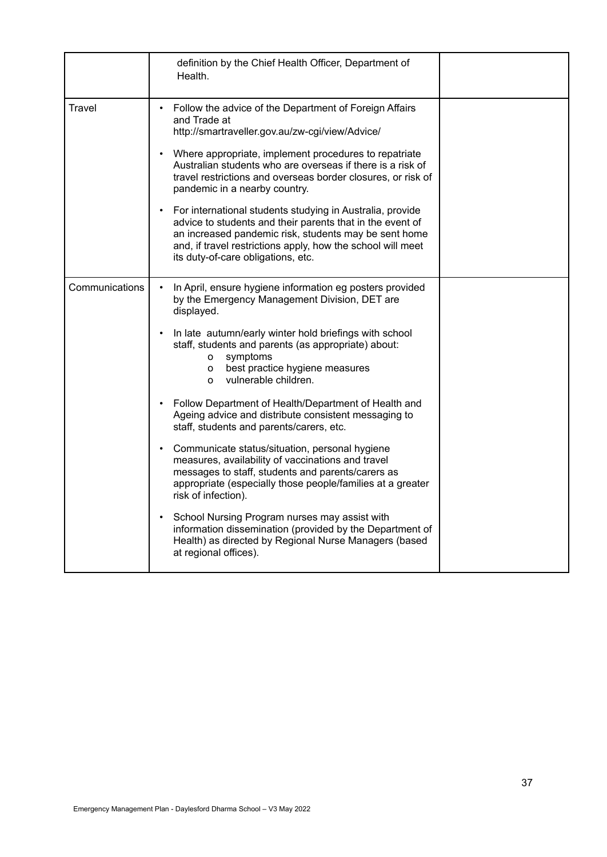|                | definition by the Chief Health Officer, Department of<br>Health.                                                                                                                                                                                                                                                                                                                                                                                                                                                                                                                                                                                                                                                                                                                                                                                                                                                                                                      |  |
|----------------|-----------------------------------------------------------------------------------------------------------------------------------------------------------------------------------------------------------------------------------------------------------------------------------------------------------------------------------------------------------------------------------------------------------------------------------------------------------------------------------------------------------------------------------------------------------------------------------------------------------------------------------------------------------------------------------------------------------------------------------------------------------------------------------------------------------------------------------------------------------------------------------------------------------------------------------------------------------------------|--|
| Travel         | Follow the advice of the Department of Foreign Affairs<br>and Trade at<br>http://smartraveller.gov.au/zw-cgi/view/Advice/<br>Where appropriate, implement procedures to repatriate<br>Australian students who are overseas if there is a risk of<br>travel restrictions and overseas border closures, or risk of<br>pandemic in a nearby country.<br>For international students studying in Australia, provide<br>advice to students and their parents that in the event of<br>an increased pandemic risk, students may be sent home<br>and, if travel restrictions apply, how the school will meet<br>its duty-of-care obligations, etc.                                                                                                                                                                                                                                                                                                                             |  |
| Communications | In April, ensure hygiene information eg posters provided<br>by the Emergency Management Division, DET are<br>displayed.<br>In late autumn/early winter hold briefings with school<br>staff, students and parents (as appropriate) about:<br>o symptoms<br>best practice hygiene measures<br>$\mathsf{o}$<br>vulnerable children.<br>$\Omega$<br>Follow Department of Health/Department of Health and<br>Ageing advice and distribute consistent messaging to<br>staff, students and parents/carers, etc.<br>Communicate status/situation, personal hygiene<br>measures, availability of vaccinations and travel<br>messages to staff, students and parents/carers as<br>appropriate (especially those people/families at a greater<br>risk of infection).<br>School Nursing Program nurses may assist with<br>$\bullet$<br>information dissemination (provided by the Department of<br>Health) as directed by Regional Nurse Managers (based<br>at regional offices). |  |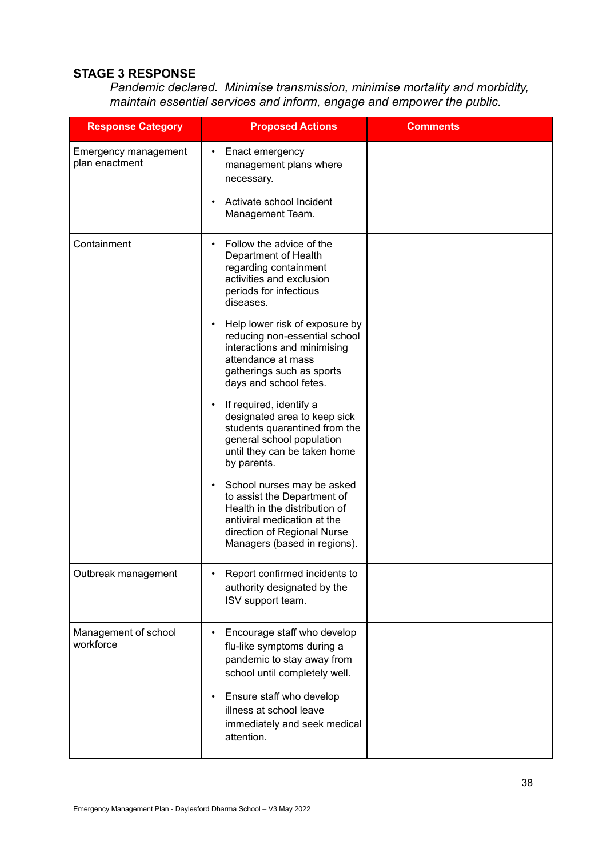### **STAGE 3 RESPONSE**

*Pandemic declared. Minimise transmission, minimise mortality and morbidity, maintain essential services and inform, engage and empower the public.*

| <b>Response Category</b>                      | <b>Proposed Actions</b>                                                                                                                                                                                                                         | <b>Comments</b> |
|-----------------------------------------------|-------------------------------------------------------------------------------------------------------------------------------------------------------------------------------------------------------------------------------------------------|-----------------|
| <b>Emergency management</b><br>plan enactment | Enact emergency<br>٠<br>management plans where<br>necessary.<br>Activate school Incident<br>$\bullet$                                                                                                                                           |                 |
|                                               | Management Team.                                                                                                                                                                                                                                |                 |
| Containment                                   | Follow the advice of the<br>٠<br>Department of Health<br>regarding containment<br>activities and exclusion<br>periods for infectious<br>diseases.<br>Help lower risk of exposure by<br>$\bullet$                                                |                 |
|                                               | reducing non-essential school<br>interactions and minimising<br>attendance at mass<br>gatherings such as sports<br>days and school fetes.                                                                                                       |                 |
|                                               | If required, identify a<br>٠<br>designated area to keep sick<br>students quarantined from the<br>general school population<br>until they can be taken home<br>by parents.                                                                       |                 |
|                                               | School nurses may be asked<br>$\bullet$<br>to assist the Department of<br>Health in the distribution of<br>antiviral medication at the<br>direction of Regional Nurse<br>Managers (based in regions).                                           |                 |
| Outbreak management                           | Report confirmed incidents to<br>authority designated by the<br>ISV support team.                                                                                                                                                               |                 |
| Management of school<br>workforce             | Encourage staff who develop<br>٠<br>flu-like symptoms during a<br>pandemic to stay away from<br>school until completely well.<br>Ensure staff who develop<br>$\bullet$<br>illness at school leave<br>immediately and seek medical<br>attention. |                 |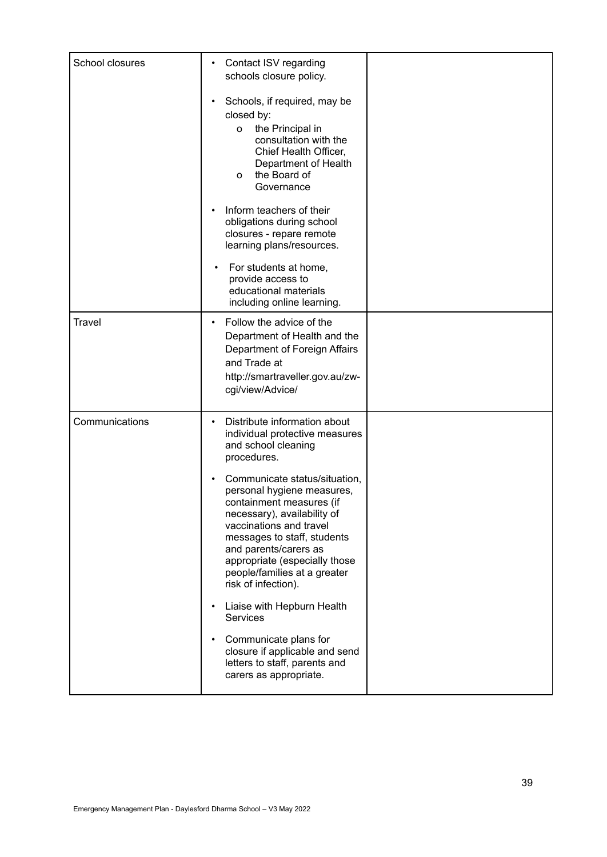| School closures | Contact ISV regarding<br>٠<br>schools closure policy.                                                                                                                                                                                                                                                          |  |
|-----------------|----------------------------------------------------------------------------------------------------------------------------------------------------------------------------------------------------------------------------------------------------------------------------------------------------------------|--|
|                 | Schools, if required, may be<br>$\bullet$<br>closed by:<br>the Principal in<br>o<br>consultation with the<br>Chief Health Officer,<br>Department of Health<br>the Board of<br>o<br>Governance                                                                                                                  |  |
|                 | Inform teachers of their<br>$\bullet$<br>obligations during school<br>closures - repare remote<br>learning plans/resources.                                                                                                                                                                                    |  |
|                 | For students at home,<br>٠<br>provide access to<br>educational materials<br>including online learning.                                                                                                                                                                                                         |  |
| <b>Travel</b>   | Follow the advice of the<br>$\bullet$<br>Department of Health and the<br>Department of Foreign Affairs<br>and Trade at<br>http://smartraveller.gov.au/zw-<br>cgi/view/Advice/                                                                                                                                  |  |
| Communications  | Distribute information about<br>$\bullet$<br>individual protective measures<br>and school cleaning<br>procedures.                                                                                                                                                                                              |  |
|                 | Communicate status/situation,<br>$\bullet$<br>personal hygiene measures,<br>containment measures (if<br>necessary), availability of<br>vaccinations and travel<br>messages to staff, students<br>and parents/carers as<br>appropriate (especially those<br>people/families at a greater<br>risk of infection). |  |
|                 | Liaise with Hepburn Health<br>$\bullet$<br><b>Services</b>                                                                                                                                                                                                                                                     |  |
|                 | Communicate plans for<br>$\bullet$<br>closure if applicable and send<br>letters to staff, parents and<br>carers as appropriate.                                                                                                                                                                                |  |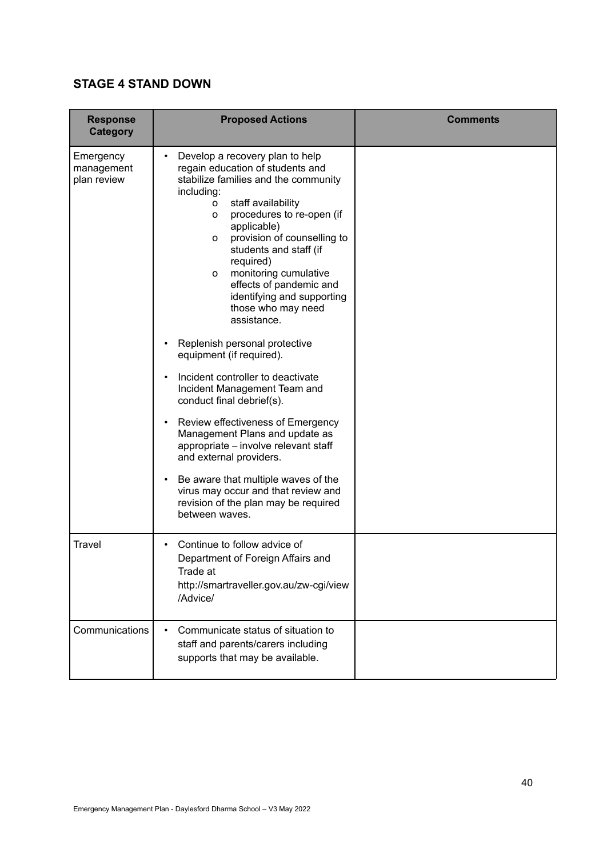### **STAGE 4 STAND DOWN**

| <b>Response</b><br><b>Category</b>     | <b>Proposed Actions</b>                                                                                                                                                                                                                                                                                                                                                                                      | <b>Comments</b> |
|----------------------------------------|--------------------------------------------------------------------------------------------------------------------------------------------------------------------------------------------------------------------------------------------------------------------------------------------------------------------------------------------------------------------------------------------------------------|-----------------|
| Emergency<br>management<br>plan review | Develop a recovery plan to help<br>regain education of students and<br>stabilize families and the community<br>including:<br>staff availability<br>o<br>procedures to re-open (if<br>0<br>applicable)<br>provision of counselling to<br>0<br>students and staff (if<br>required)<br>monitoring cumulative<br>o<br>effects of pandemic and<br>identifying and supporting<br>those who may need<br>assistance. |                 |
|                                        | Replenish personal protective<br>equipment (if required).                                                                                                                                                                                                                                                                                                                                                    |                 |
|                                        | Incident controller to deactivate<br>Incident Management Team and<br>conduct final debrief(s).                                                                                                                                                                                                                                                                                                               |                 |
|                                        | Review effectiveness of Emergency<br>Management Plans and update as<br>appropriate - involve relevant staff<br>and external providers.                                                                                                                                                                                                                                                                       |                 |
|                                        | Be aware that multiple waves of the<br>virus may occur and that review and<br>revision of the plan may be required<br>between waves.                                                                                                                                                                                                                                                                         |                 |
| <b>Travel</b>                          | Continue to follow advice of<br>Department of Foreign Affairs and<br>Trade at<br>http://smartraveller.gov.au/zw-cgi/view<br>/Advice/                                                                                                                                                                                                                                                                         |                 |
| Communications                         | Communicate status of situation to<br>staff and parents/carers including<br>supports that may be available.                                                                                                                                                                                                                                                                                                  |                 |